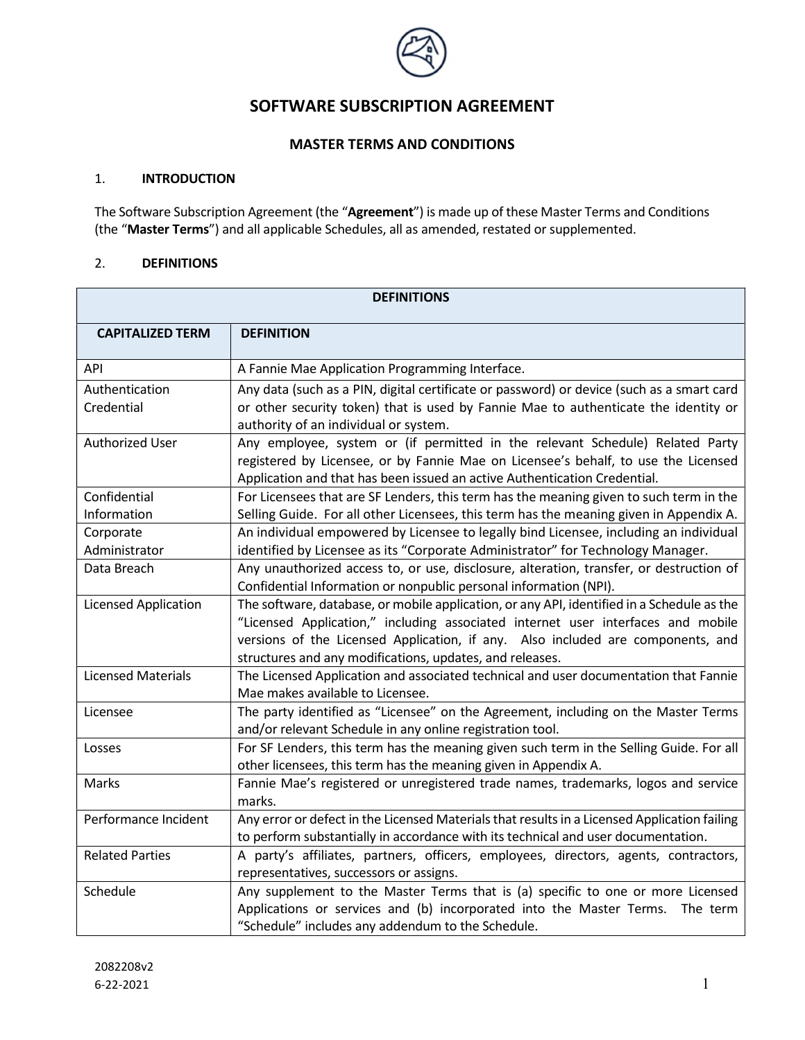

# SOFTWARE SUBSCRIPTION AGREEMENT

## MASTER TERMS AND CONDITIONS

#### 1. INTRODUCTION

The Software Subscription Agreement (the "Agreement") is made up of these Master Terms and Conditions (the "Master Terms") and all applicable Schedules, all as amended, restated or supplemented.

### 2. DEFINITIONS

| <b>DEFINITIONS</b>        |                                                                                                                                                 |
|---------------------------|-------------------------------------------------------------------------------------------------------------------------------------------------|
| <b>CAPITALIZED TERM</b>   | <b>DEFINITION</b>                                                                                                                               |
| API                       | A Fannie Mae Application Programming Interface.                                                                                                 |
| Authentication            | Any data (such as a PIN, digital certificate or password) or device (such as a smart card                                                       |
| Credential                | or other security token) that is used by Fannie Mae to authenticate the identity or<br>authority of an individual or system.                    |
| Authorized User           | Any employee, system or (if permitted in the relevant Schedule) Related Party                                                                   |
|                           | registered by Licensee, or by Fannie Mae on Licensee's behalf, to use the Licensed                                                              |
|                           | Application and that has been issued an active Authentication Credential.                                                                       |
| Confidential              | For Licensees that are SF Lenders, this term has the meaning given to such term in the                                                          |
| Information               | Selling Guide. For all other Licensees, this term has the meaning given in Appendix A.                                                          |
| Corporate                 | An individual empowered by Licensee to legally bind Licensee, including an individual                                                           |
| Administrator             | identified by Licensee as its "Corporate Administrator" for Technology Manager.                                                                 |
| Data Breach               | Any unauthorized access to, or use, disclosure, alteration, transfer, or destruction of                                                         |
|                           | Confidential Information or nonpublic personal information (NPI).                                                                               |
| Licensed Application      | The software, database, or mobile application, or any API, identified in a Schedule as the                                                      |
|                           | "Licensed Application," including associated internet user interfaces and mobile                                                                |
|                           | versions of the Licensed Application, if any. Also included are components, and                                                                 |
|                           | structures and any modifications, updates, and releases.                                                                                        |
| <b>Licensed Materials</b> | The Licensed Application and associated technical and user documentation that Fannie                                                            |
|                           | Mae makes available to Licensee.                                                                                                                |
| Licensee                  | The party identified as "Licensee" on the Agreement, including on the Master Terms<br>and/or relevant Schedule in any online registration tool. |
| Losses                    | For SF Lenders, this term has the meaning given such term in the Selling Guide. For all                                                         |
|                           | other licensees, this term has the meaning given in Appendix A.                                                                                 |
| Marks                     | Fannie Mae's registered or unregistered trade names, trademarks, logos and service                                                              |
|                           | marks.                                                                                                                                          |
| Performance Incident      | Any error or defect in the Licensed Materials that results in a Licensed Application failing                                                    |
|                           | to perform substantially in accordance with its technical and user documentation.                                                               |
| <b>Related Parties</b>    | A party's affiliates, partners, officers, employees, directors, agents, contractors,                                                            |
|                           | representatives, successors or assigns.                                                                                                         |
| Schedule                  | Any supplement to the Master Terms that is (a) specific to one or more Licensed                                                                 |
|                           | Applications or services and (b) incorporated into the Master Terms. The term                                                                   |
|                           | "Schedule" includes any addendum to the Schedule.                                                                                               |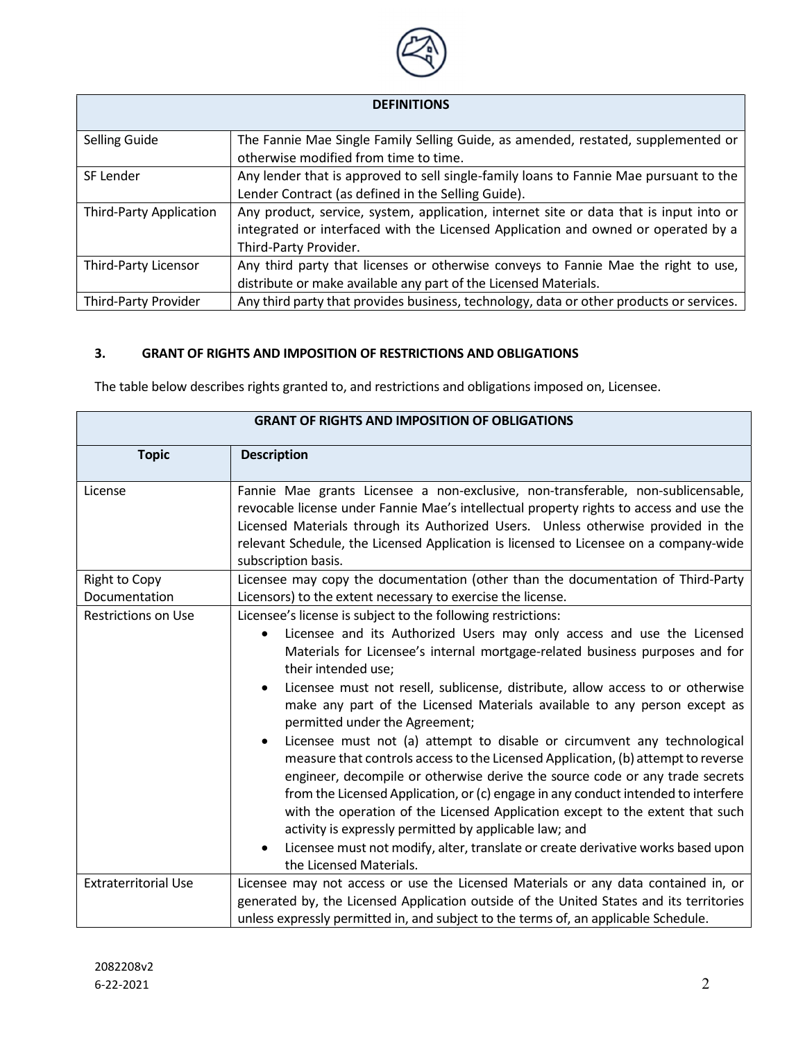

| <b>DEFINITIONS</b> |  |
|--------------------|--|
|--------------------|--|

| <b>Selling Guide</b>           | The Fannie Mae Single Family Selling Guide, as amended, restated, supplemented or       |
|--------------------------------|-----------------------------------------------------------------------------------------|
|                                | otherwise modified from time to time.                                                   |
| SF Lender                      | Any lender that is approved to sell single-family loans to Fannie Mae pursuant to the   |
|                                | Lender Contract (as defined in the Selling Guide).                                      |
| <b>Third-Party Application</b> | Any product, service, system, application, internet site or data that is input into or  |
|                                | integrated or interfaced with the Licensed Application and owned or operated by a       |
|                                | Third-Party Provider.                                                                   |
| Third-Party Licensor           | Any third party that licenses or otherwise conveys to Fannie Mae the right to use,      |
|                                | distribute or make available any part of the Licensed Materials.                        |
| Third-Party Provider           | Any third party that provides business, technology, data or other products or services. |

## 3. GRANT OF RIGHTS AND IMPOSITION OF RESTRICTIONS AND OBLIGATIONS

The table below describes rights granted to, and restrictions and obligations imposed on, Licensee.

| <b>GRANT OF RIGHTS AND IMPOSITION OF OBLIGATIONS</b> |                                                                                                                                                                                                                                                                                                                                                                                                                                                                                                                                                                                                                                                                                                                                                                                                                                                                                                                                                                                                                                               |  |
|------------------------------------------------------|-----------------------------------------------------------------------------------------------------------------------------------------------------------------------------------------------------------------------------------------------------------------------------------------------------------------------------------------------------------------------------------------------------------------------------------------------------------------------------------------------------------------------------------------------------------------------------------------------------------------------------------------------------------------------------------------------------------------------------------------------------------------------------------------------------------------------------------------------------------------------------------------------------------------------------------------------------------------------------------------------------------------------------------------------|--|
| <b>Topic</b>                                         | <b>Description</b>                                                                                                                                                                                                                                                                                                                                                                                                                                                                                                                                                                                                                                                                                                                                                                                                                                                                                                                                                                                                                            |  |
| License                                              | Fannie Mae grants Licensee a non-exclusive, non-transferable, non-sublicensable,<br>revocable license under Fannie Mae's intellectual property rights to access and use the<br>Licensed Materials through its Authorized Users. Unless otherwise provided in the<br>relevant Schedule, the Licensed Application is licensed to Licensee on a company-wide<br>subscription basis.                                                                                                                                                                                                                                                                                                                                                                                                                                                                                                                                                                                                                                                              |  |
| <b>Right to Copy</b><br>Documentation                | Licensee may copy the documentation (other than the documentation of Third-Party<br>Licensors) to the extent necessary to exercise the license.                                                                                                                                                                                                                                                                                                                                                                                                                                                                                                                                                                                                                                                                                                                                                                                                                                                                                               |  |
| <b>Restrictions on Use</b>                           | Licensee's license is subject to the following restrictions:<br>Licensee and its Authorized Users may only access and use the Licensed<br>Materials for Licensee's internal mortgage-related business purposes and for<br>their intended use;<br>Licensee must not resell, sublicense, distribute, allow access to or otherwise<br>make any part of the Licensed Materials available to any person except as<br>permitted under the Agreement;<br>Licensee must not (a) attempt to disable or circumvent any technological<br>measure that controls access to the Licensed Application, (b) attempt to reverse<br>engineer, decompile or otherwise derive the source code or any trade secrets<br>from the Licensed Application, or (c) engage in any conduct intended to interfere<br>with the operation of the Licensed Application except to the extent that such<br>activity is expressly permitted by applicable law; and<br>Licensee must not modify, alter, translate or create derivative works based upon<br>the Licensed Materials. |  |
| <b>Extraterritorial Use</b>                          | Licensee may not access or use the Licensed Materials or any data contained in, or<br>generated by, the Licensed Application outside of the United States and its territories<br>unless expressly permitted in, and subject to the terms of, an applicable Schedule.                                                                                                                                                                                                                                                                                                                                                                                                                                                                                                                                                                                                                                                                                                                                                                          |  |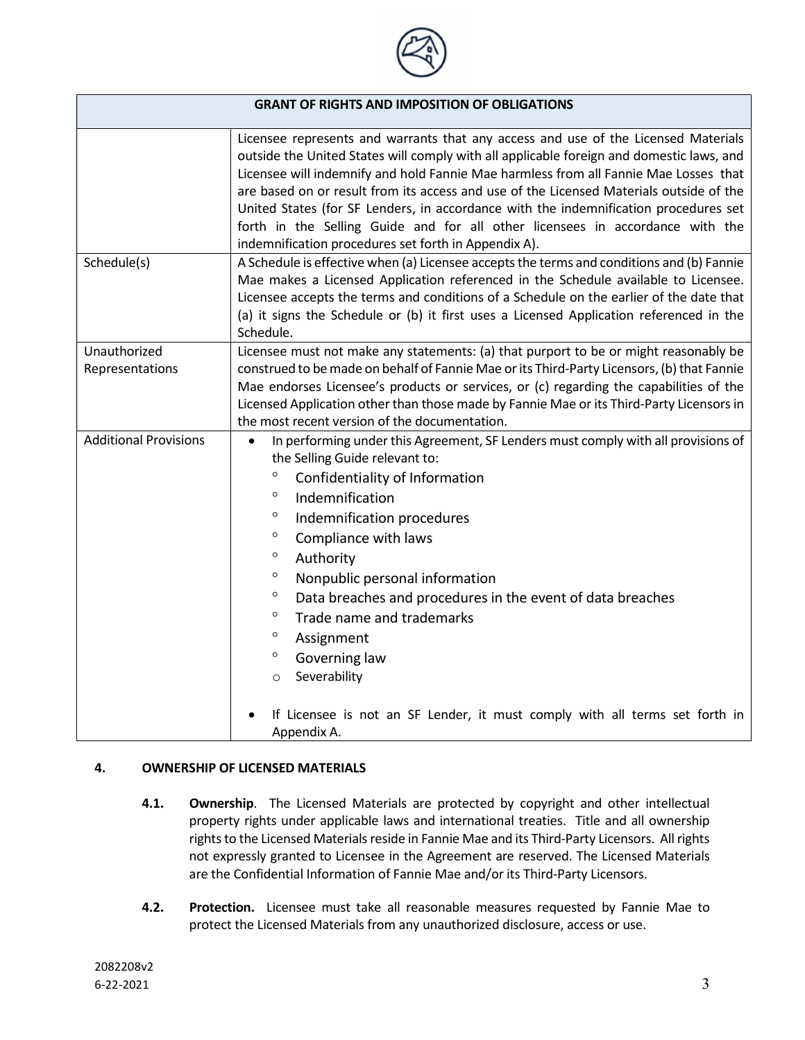

| <b>GRANT OF RIGHTS AND IMPOSITION OF OBLIGATIONS</b> |                                                                                                                                                                                                                                                                                                                                                                                                                                                                                                                                                                                                                                                             |
|------------------------------------------------------|-------------------------------------------------------------------------------------------------------------------------------------------------------------------------------------------------------------------------------------------------------------------------------------------------------------------------------------------------------------------------------------------------------------------------------------------------------------------------------------------------------------------------------------------------------------------------------------------------------------------------------------------------------------|
|                                                      | Licensee represents and warrants that any access and use of the Licensed Materials<br>outside the United States will comply with all applicable foreign and domestic laws, and<br>Licensee will indemnify and hold Fannie Mae harmless from all Fannie Mae Losses that<br>are based on or result from its access and use of the Licensed Materials outside of the<br>United States (for SF Lenders, in accordance with the indemnification procedures set<br>forth in the Selling Guide and for all other licensees in accordance with the<br>indemnification procedures set forth in Appendix A).                                                          |
| Schedule(s)                                          | A Schedule is effective when (a) Licensee accepts the terms and conditions and (b) Fannie<br>Mae makes a Licensed Application referenced in the Schedule available to Licensee.<br>Licensee accepts the terms and conditions of a Schedule on the earlier of the date that<br>(a) it signs the Schedule or (b) it first uses a Licensed Application referenced in the<br>Schedule.                                                                                                                                                                                                                                                                          |
| Unauthorized<br>Representations                      | Licensee must not make any statements: (a) that purport to be or might reasonably be<br>construed to be made on behalf of Fannie Mae or its Third-Party Licensors, (b) that Fannie<br>Mae endorses Licensee's products or services, or (c) regarding the capabilities of the<br>Licensed Application other than those made by Fannie Mae or its Third-Party Licensors in<br>the most recent version of the documentation.                                                                                                                                                                                                                                   |
| <b>Additional Provisions</b>                         | In performing under this Agreement, SF Lenders must comply with all provisions of<br>$\bullet$<br>the Selling Guide relevant to:<br>$\circ$<br>Confidentiality of Information<br>$\circ$<br>Indemnification<br>$\circ$<br>Indemnification procedures<br>$\circ$<br>Compliance with laws<br>$\circ$<br>Authority<br>$\circ$<br>Nonpublic personal information<br>$\circ$<br>Data breaches and procedures in the event of data breaches<br>$\circ$<br>Trade name and trademarks<br>$\circ$<br>Assignment<br>$\circ$<br>Governing law<br>Severability<br>$\circ$<br>If Licensee is not an SF Lender, it must comply with all terms set forth in<br>Appendix A. |

### 4. OWNERSHIP OF LICENSED MATERIALS

- 4.1. Ownership. The Licensed Materials are protected by copyright and other intellectual property rights under applicable laws and international treaties. Title and all ownership rights to the Licensed Materials reside in Fannie Mae and its Third-Party Licensors. All rights not expressly granted to Licensee in the Agreement are reserved. The Licensed Materials are the Confidential Information of Fannie Mae and/or its Third-Party Licensors.
- 4.2. Protection. Licensee must take all reasonable measures requested by Fannie Mae to protect the Licensed Materials from any unauthorized disclosure, access or use.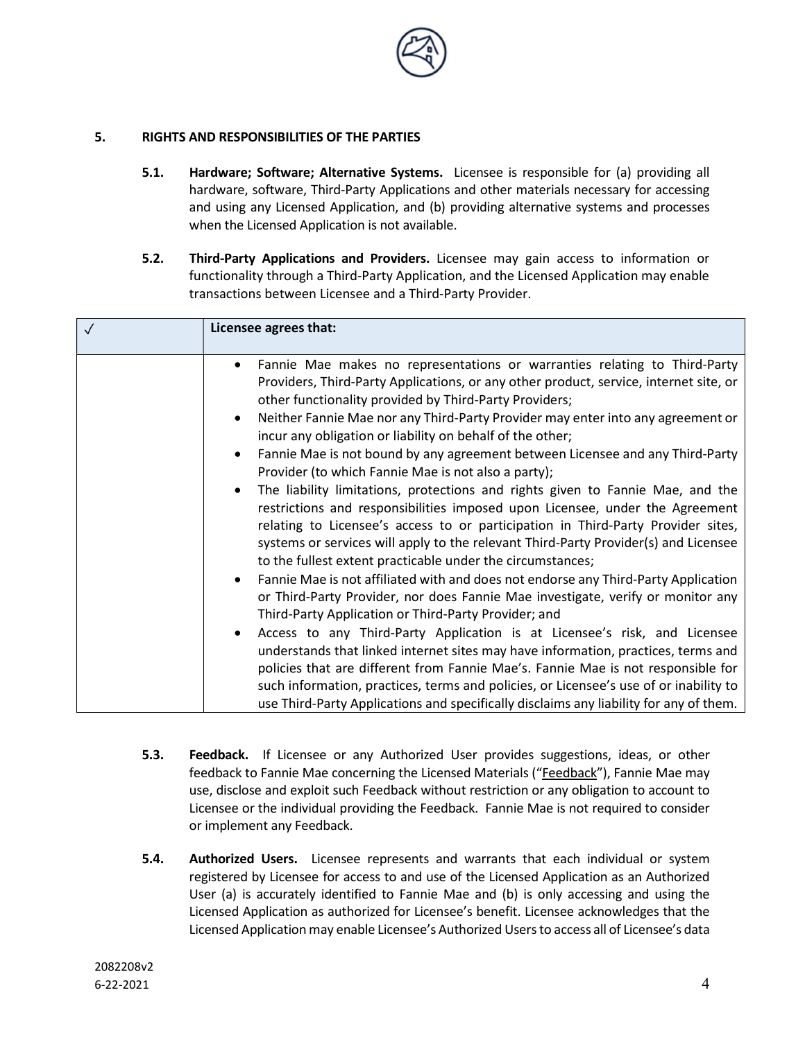

## 5. RIGHTS AND RESPONSIBILITIES OF THE PARTIES

- 5.1. Hardware; Software; Alternative Systems. Licensee is responsible for (a) providing all hardware, software, Third-Party Applications and other materials necessary for accessing and using any Licensed Application, and (b) providing alternative systems and processes when the Licensed Application is not available.
- 5.2. Third-Party Applications and Providers. Licensee may gain access to information or functionality through a Third-Party Application, and the Licensed Application may enable transactions between Licensee and a Third-Party Provider.

| Licensee agrees that:                                                                                                                                                                                                                                                                                                                                                                                                                                                                                                                                                                                                                                                                            |
|--------------------------------------------------------------------------------------------------------------------------------------------------------------------------------------------------------------------------------------------------------------------------------------------------------------------------------------------------------------------------------------------------------------------------------------------------------------------------------------------------------------------------------------------------------------------------------------------------------------------------------------------------------------------------------------------------|
| Fannie Mae makes no representations or warranties relating to Third-Party<br>$\bullet$<br>Providers, Third-Party Applications, or any other product, service, internet site, or<br>other functionality provided by Third-Party Providers;<br>Neither Fannie Mae nor any Third-Party Provider may enter into any agreement or<br>$\bullet$                                                                                                                                                                                                                                                                                                                                                        |
| incur any obligation or liability on behalf of the other;<br>Fannie Mae is not bound by any agreement between Licensee and any Third-Party<br>$\bullet$<br>Provider (to which Fannie Mae is not also a party);<br>The liability limitations, protections and rights given to Fannie Mae, and the<br>$\bullet$<br>restrictions and responsibilities imposed upon Licensee, under the Agreement<br>relating to Licensee's access to or participation in Third-Party Provider sites,<br>systems or services will apply to the relevant Third-Party Provider(s) and Licensee<br>to the fullest extent practicable under the circumstances;                                                           |
| Fannie Mae is not affiliated with and does not endorse any Third-Party Application<br>$\bullet$<br>or Third-Party Provider, nor does Fannie Mae investigate, verify or monitor any<br>Third-Party Application or Third-Party Provider; and<br>Access to any Third-Party Application is at Licensee's risk, and Licensee<br>$\bullet$<br>understands that linked internet sites may have information, practices, terms and<br>policies that are different from Fannie Mae's. Fannie Mae is not responsible for<br>such information, practices, terms and policies, or Licensee's use of or inability to<br>use Third-Party Applications and specifically disclaims any liability for any of them. |

- 5.3. Feedback. If Licensee or any Authorized User provides suggestions, ideas, or other feedback to Fannie Mae concerning the Licensed Materials ("Feedback"), Fannie Mae may use, disclose and exploit such Feedback without restriction or any obligation to account to Licensee or the individual providing the Feedback. Fannie Mae is not required to consider or implement any Feedback.
- 5.4. Authorized Users. Licensee represents and warrants that each individual or system registered by Licensee for access to and use of the Licensed Application as an Authorized User (a) is accurately identified to Fannie Mae and (b) is only accessing and using the Licensed Application as authorized for Licensee's benefit. Licensee acknowledges that the Licensed Application may enable Licensee's Authorized Users to access all of Licensee's data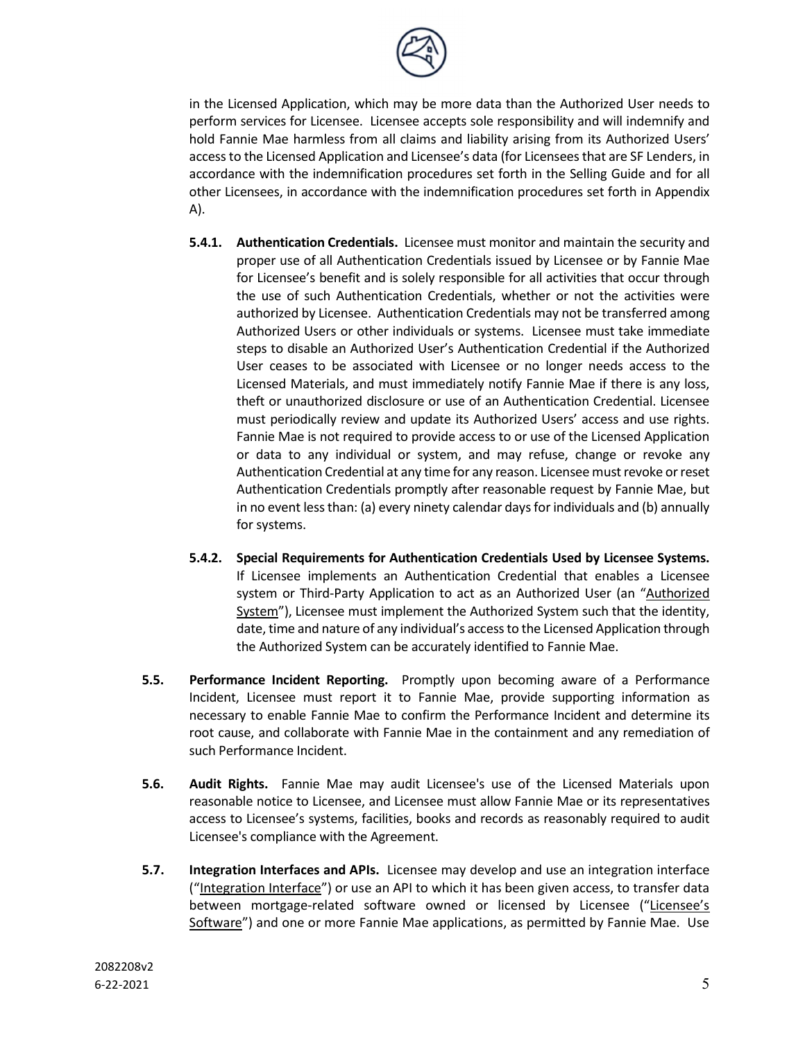

in the Licensed Application, which may be more data than the Authorized User needs to perform services for Licensee. Licensee accepts sole responsibility and will indemnify and hold Fannie Mae harmless from all claims and liability arising from its Authorized Users' access to the Licensed Application and Licensee's data (for Licensees that are SF Lenders, in accordance with the indemnification procedures set forth in the Selling Guide and for all other Licensees, in accordance with the indemnification procedures set forth in Appendix A).

- **5.4.1.** Authentication Credentials. Licensee must monitor and maintain the security and proper use of all Authentication Credentials issued by Licensee or by Fannie Mae for Licensee's benefit and is solely responsible for all activities that occur through the use of such Authentication Credentials, whether or not the activities were authorized by Licensee. Authentication Credentials may not be transferred among Authorized Users or other individuals or systems. Licensee must take immediate steps to disable an Authorized User's Authentication Credential if the Authorized User ceases to be associated with Licensee or no longer needs access to the Licensed Materials, and must immediately notify Fannie Mae if there is any loss, theft or unauthorized disclosure or use of an Authentication Credential. Licensee must periodically review and update its Authorized Users' access and use rights. Fannie Mae is not required to provide access to or use of the Licensed Application or data to any individual or system, and may refuse, change or revoke any Authentication Credential at any time for any reason. Licensee must revoke or reset Authentication Credentials promptly after reasonable request by Fannie Mae, but in no event less than: (a) every ninety calendar days for individuals and (b) annually for systems.
- 5.4.2. Special Requirements for Authentication Credentials Used by Licensee Systems. If Licensee implements an Authentication Credential that enables a Licensee system or Third-Party Application to act as an Authorized User (an "Authorized System"), Licensee must implement the Authorized System such that the identity, date, time and nature of any individual's access to the Licensed Application through the Authorized System can be accurately identified to Fannie Mae.
- **5.5. Performance Incident Reporting.** Promptly upon becoming aware of a Performance Incident, Licensee must report it to Fannie Mae, provide supporting information as necessary to enable Fannie Mae to confirm the Performance Incident and determine its root cause, and collaborate with Fannie Mae in the containment and any remediation of such Performance Incident.
- 5.6. Audit Rights. Fannie Mae may audit Licensee's use of the Licensed Materials upon reasonable notice to Licensee, and Licensee must allow Fannie Mae or its representatives access to Licensee's systems, facilities, books and records as reasonably required to audit Licensee's compliance with the Agreement.
- **5.7.** Integration Interfaces and APIs. Licensee may develop and use an integration interface ("Integration Interface") or use an API to which it has been given access, to transfer data between mortgage-related software owned or licensed by Licensee ("Licensee's Software") and one or more Fannie Mae applications, as permitted by Fannie Mae. Use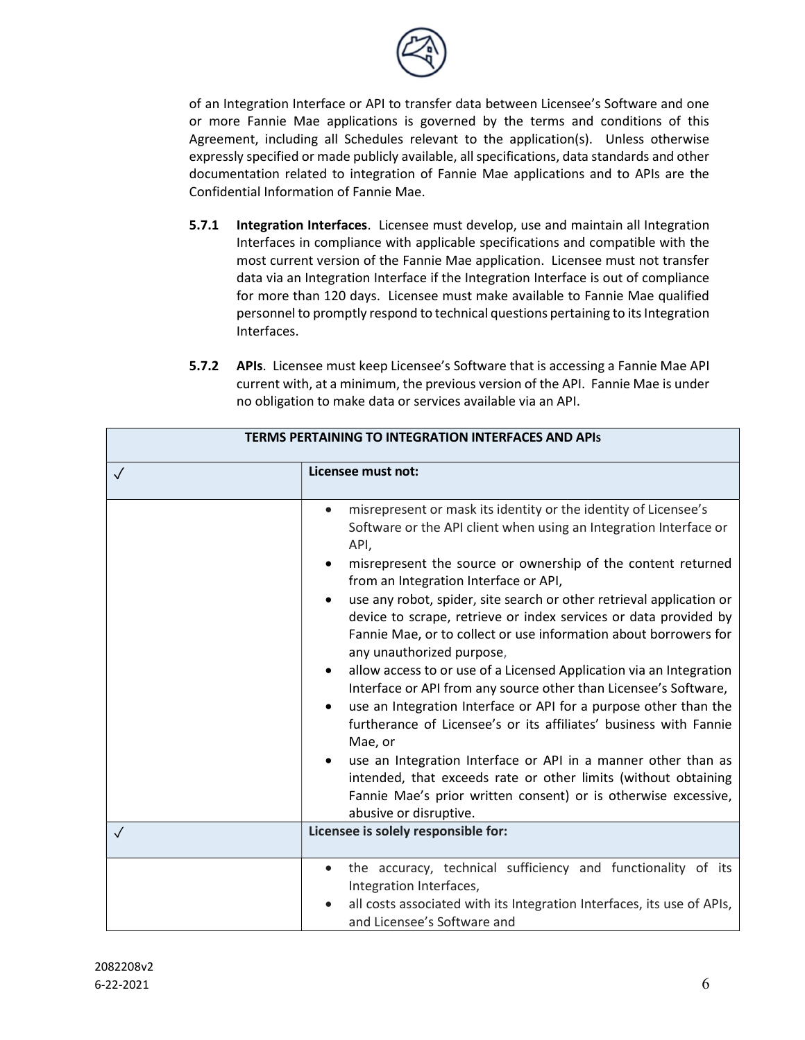

of an Integration Interface or API to transfer data between Licensee's Software and one or more Fannie Mae applications is governed by the terms and conditions of this Agreement, including all Schedules relevant to the application(s). Unless otherwise expressly specified or made publicly available, all specifications, data standards and other documentation related to integration of Fannie Mae applications and to APIs are the Confidential Information of Fannie Mae.

- **5.7.1** Integration Interfaces. Licensee must develop, use and maintain all Integration Interfaces in compliance with applicable specifications and compatible with the most current version of the Fannie Mae application. Licensee must not transfer data via an Integration Interface if the Integration Interface is out of compliance for more than 120 days. Licensee must make available to Fannie Mae qualified personnel to promptly respond to technical questions pertaining to its Integration Interfaces.
- 5.7.2 APIs. Licensee must keep Licensee's Software that is accessing a Fannie Mae API current with, at a minimum, the previous version of the API. Fannie Mae is under no obligation to make data or services available via an API.

| <b>TERMS PERTAINING TO INTEGRATION INTERFACES AND APIS</b> |                                                                                                                                                                                                                                                                                                                                                                                                                                                                                                                                                                                                                                                                                                                                                                                                                                                                                                                                                                                                                                                                                           |
|------------------------------------------------------------|-------------------------------------------------------------------------------------------------------------------------------------------------------------------------------------------------------------------------------------------------------------------------------------------------------------------------------------------------------------------------------------------------------------------------------------------------------------------------------------------------------------------------------------------------------------------------------------------------------------------------------------------------------------------------------------------------------------------------------------------------------------------------------------------------------------------------------------------------------------------------------------------------------------------------------------------------------------------------------------------------------------------------------------------------------------------------------------------|
| $\sqrt{}$                                                  | Licensee must not:                                                                                                                                                                                                                                                                                                                                                                                                                                                                                                                                                                                                                                                                                                                                                                                                                                                                                                                                                                                                                                                                        |
|                                                            | misrepresent or mask its identity or the identity of Licensee's<br>$\bullet$<br>Software or the API client when using an Integration Interface or<br>API,<br>misrepresent the source or ownership of the content returned<br>from an Integration Interface or API,<br>use any robot, spider, site search or other retrieval application or<br>$\bullet$<br>device to scrape, retrieve or index services or data provided by<br>Fannie Mae, or to collect or use information about borrowers for<br>any unauthorized purpose,<br>allow access to or use of a Licensed Application via an Integration<br>٠<br>Interface or API from any source other than Licensee's Software,<br>use an Integration Interface or API for a purpose other than the<br>$\bullet$<br>furtherance of Licensee's or its affiliates' business with Fannie<br>Mae, or<br>use an Integration Interface or API in a manner other than as<br>$\bullet$<br>intended, that exceeds rate or other limits (without obtaining<br>Fannie Mae's prior written consent) or is otherwise excessive,<br>abusive or disruptive. |
| $\sqrt{}$                                                  | Licensee is solely responsible for:                                                                                                                                                                                                                                                                                                                                                                                                                                                                                                                                                                                                                                                                                                                                                                                                                                                                                                                                                                                                                                                       |
|                                                            | the accuracy, technical sufficiency and functionality of its<br>$\bullet$<br>Integration Interfaces,<br>all costs associated with its Integration Interfaces, its use of APIs,<br>and Licensee's Software and                                                                                                                                                                                                                                                                                                                                                                                                                                                                                                                                                                                                                                                                                                                                                                                                                                                                             |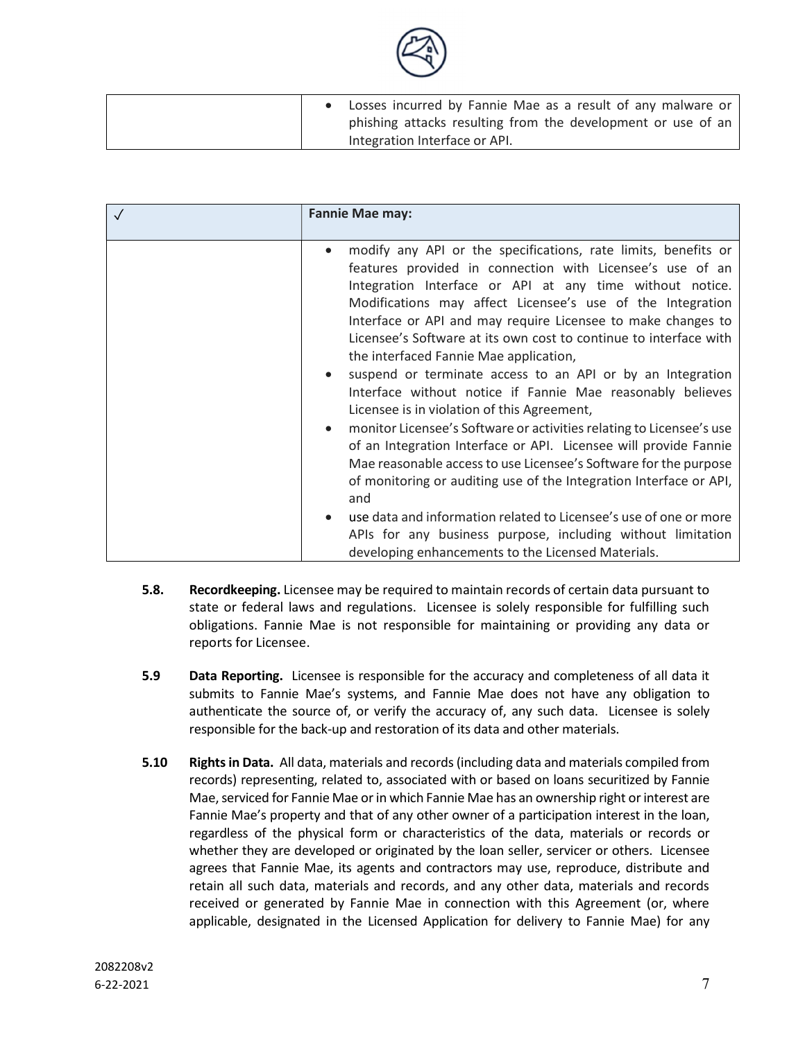

|  | Losses incurred by Fannie Mae as a result of any malware or  |
|--|--------------------------------------------------------------|
|  | phishing attacks resulting from the development or use of an |
|  | Integration Interface or API.                                |

| <b>Fannie Mae may:</b>                                                                                                                                                                                                                                                                                                                                                                                                                                                                                                                                                                                          |
|-----------------------------------------------------------------------------------------------------------------------------------------------------------------------------------------------------------------------------------------------------------------------------------------------------------------------------------------------------------------------------------------------------------------------------------------------------------------------------------------------------------------------------------------------------------------------------------------------------------------|
| modify any API or the specifications, rate limits, benefits or<br>features provided in connection with Licensee's use of an<br>Integration Interface or API at any time without notice.<br>Modifications may affect Licensee's use of the Integration<br>Interface or API and may require Licensee to make changes to<br>Licensee's Software at its own cost to continue to interface with<br>the interfaced Fannie Mae application,<br>suspend or terminate access to an API or by an Integration<br>Interface without notice if Fannie Mae reasonably believes<br>Licensee is in violation of this Agreement, |
| monitor Licensee's Software or activities relating to Licensee's use<br>of an Integration Interface or API. Licensee will provide Fannie<br>Mae reasonable access to use Licensee's Software for the purpose<br>of monitoring or auditing use of the Integration Interface or API,<br>and                                                                                                                                                                                                                                                                                                                       |
| use data and information related to Licensee's use of one or more<br>APIs for any business purpose, including without limitation<br>developing enhancements to the Licensed Materials.                                                                                                                                                                                                                                                                                                                                                                                                                          |

- **5.8.** Recordkeeping. Licensee may be required to maintain records of certain data pursuant to state or federal laws and regulations. Licensee is solely responsible for fulfilling such obligations. Fannie Mae is not responsible for maintaining or providing any data or reports for Licensee.
- 5.9 Data Reporting. Licensee is responsible for the accuracy and completeness of all data it submits to Fannie Mae's systems, and Fannie Mae does not have any obligation to authenticate the source of, or verify the accuracy of, any such data. Licensee is solely responsible for the back-up and restoration of its data and other materials.
- 5.10 Rights in Data. All data, materials and records (including data and materials compiled from records) representing, related to, associated with or based on loans securitized by Fannie Mae, serviced for Fannie Mae or in which Fannie Mae has an ownership right or interest are Fannie Mae's property and that of any other owner of a participation interest in the loan, regardless of the physical form or characteristics of the data, materials or records or whether they are developed or originated by the loan seller, servicer or others. Licensee agrees that Fannie Mae, its agents and contractors may use, reproduce, distribute and retain all such data, materials and records, and any other data, materials and records received or generated by Fannie Mae in connection with this Agreement (or, where applicable, designated in the Licensed Application for delivery to Fannie Mae) for any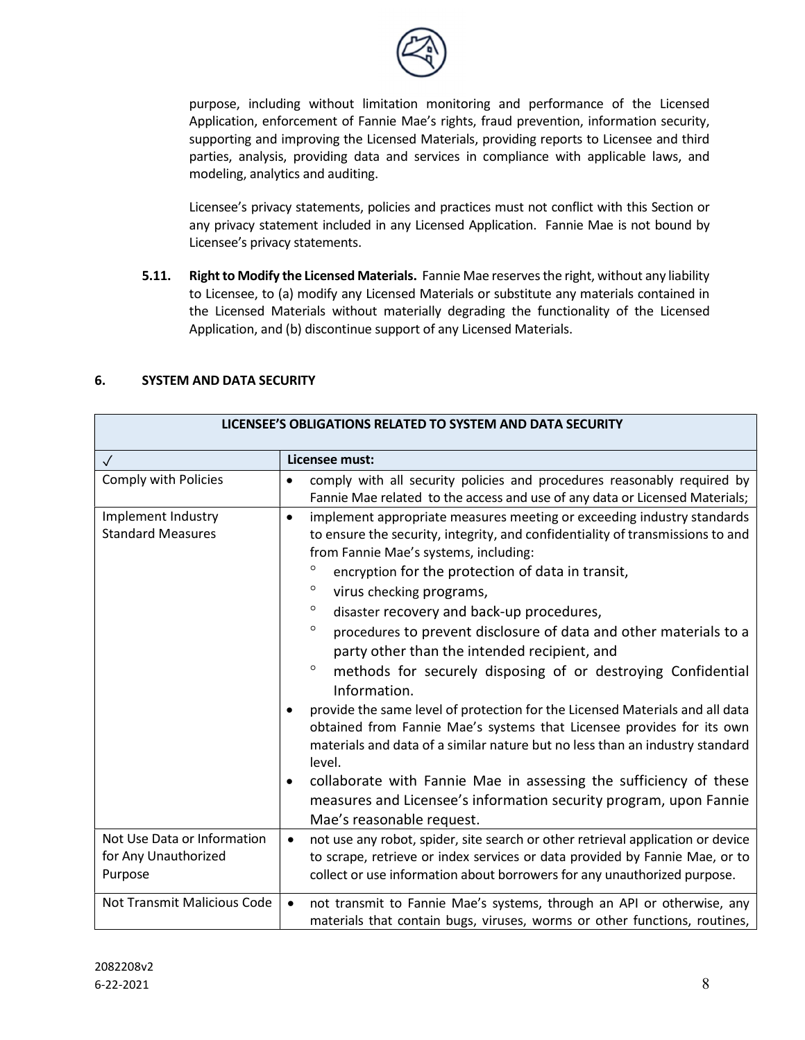

purpose, including without limitation monitoring and performance of the Licensed Application, enforcement of Fannie Mae's rights, fraud prevention, information security, supporting and improving the Licensed Materials, providing reports to Licensee and third parties, analysis, providing data and services in compliance with applicable laws, and modeling, analytics and auditing.

 Licensee's privacy statements, policies and practices must not conflict with this Section or any privacy statement included in any Licensed Application. Fannie Mae is not bound by Licensee's privacy statements.

5.11. Right to Modify the Licensed Materials. Fannie Mae reserves the right, without any liability to Licensee, to (a) modify any Licensed Materials or substitute any materials contained in the Licensed Materials without materially degrading the functionality of the Licensed Application, and (b) discontinue support of any Licensed Materials.

| LICENSEE'S OBLIGATIONS RELATED TO SYSTEM AND DATA SECURITY     |                                                                                                                                                                                                                                                                                                                                                                                                                                                                                                                                                                                                                                                                                                                                                                                                                                                                                                                                                                                                                                         |
|----------------------------------------------------------------|-----------------------------------------------------------------------------------------------------------------------------------------------------------------------------------------------------------------------------------------------------------------------------------------------------------------------------------------------------------------------------------------------------------------------------------------------------------------------------------------------------------------------------------------------------------------------------------------------------------------------------------------------------------------------------------------------------------------------------------------------------------------------------------------------------------------------------------------------------------------------------------------------------------------------------------------------------------------------------------------------------------------------------------------|
| $\checkmark$                                                   | Licensee must:                                                                                                                                                                                                                                                                                                                                                                                                                                                                                                                                                                                                                                                                                                                                                                                                                                                                                                                                                                                                                          |
| <b>Comply with Policies</b>                                    | comply with all security policies and procedures reasonably required by<br>Fannie Mae related to the access and use of any data or Licensed Materials;                                                                                                                                                                                                                                                                                                                                                                                                                                                                                                                                                                                                                                                                                                                                                                                                                                                                                  |
| Implement Industry<br><b>Standard Measures</b>                 | implement appropriate measures meeting or exceeding industry standards<br>$\bullet$<br>to ensure the security, integrity, and confidentiality of transmissions to and<br>from Fannie Mae's systems, including:<br>$\circ$<br>encryption for the protection of data in transit,<br>$\circ$<br>virus checking programs,<br>$\circ$<br>disaster recovery and back-up procedures,<br>$\circ$<br>procedures to prevent disclosure of data and other materials to a<br>party other than the intended recipient, and<br>$\circ$<br>methods for securely disposing of or destroying Confidential<br>Information.<br>provide the same level of protection for the Licensed Materials and all data<br>obtained from Fannie Mae's systems that Licensee provides for its own<br>materials and data of a similar nature but no less than an industry standard<br>level.<br>collaborate with Fannie Mae in assessing the sufficiency of these<br>٠<br>measures and Licensee's information security program, upon Fannie<br>Mae's reasonable request. |
| Not Use Data or Information<br>for Any Unauthorized<br>Purpose | not use any robot, spider, site search or other retrieval application or device<br>$\bullet$<br>to scrape, retrieve or index services or data provided by Fannie Mae, or to<br>collect or use information about borrowers for any unauthorized purpose.                                                                                                                                                                                                                                                                                                                                                                                                                                                                                                                                                                                                                                                                                                                                                                                 |
| Not Transmit Malicious Code                                    | not transmit to Fannie Mae's systems, through an API or otherwise, any<br>$\bullet$<br>materials that contain bugs, viruses, worms or other functions, routines,                                                                                                                                                                                                                                                                                                                                                                                                                                                                                                                                                                                                                                                                                                                                                                                                                                                                        |

# 6. SYSTEM AND DATA SECURITY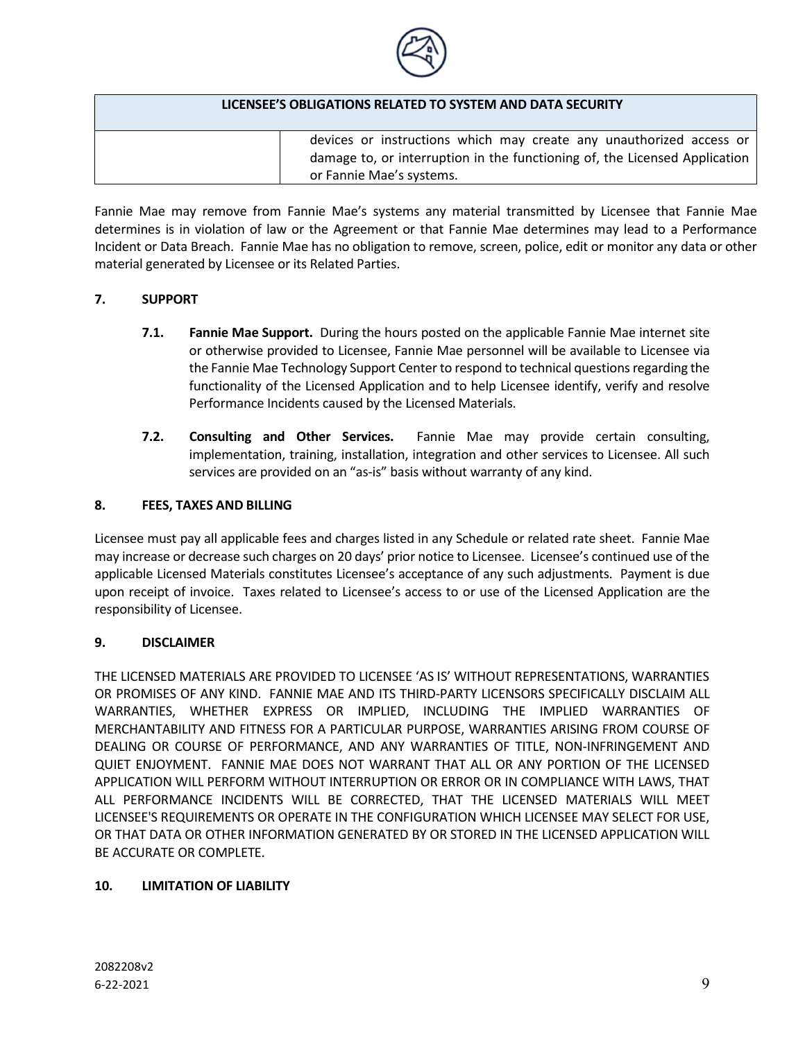

| LICENSEE'S OBLIGATIONS RELATED TO SYSTEM AND DATA SECURITY                 |
|----------------------------------------------------------------------------|
| devices or instructions which may create any unauthorized access or        |
| damage to, or interruption in the functioning of, the Licensed Application |
| or Fannie Mae's systems.                                                   |

Fannie Mae may remove from Fannie Mae's systems any material transmitted by Licensee that Fannie Mae determines is in violation of law or the Agreement or that Fannie Mae determines may lead to a Performance Incident or Data Breach. Fannie Mae has no obligation to remove, screen, police, edit or monitor any data or other material generated by Licensee or its Related Parties.

### 7. SUPPORT

- 7.1. Fannie Mae Support. During the hours posted on the applicable Fannie Mae internet site or otherwise provided to Licensee, Fannie Mae personnel will be available to Licensee via the Fannie Mae Technology Support Center to respond to technical questions regarding the functionality of the Licensed Application and to help Licensee identify, verify and resolve Performance Incidents caused by the Licensed Materials.
- 7.2. Consulting and Other Services. Fannie Mae may provide certain consulting, implementation, training, installation, integration and other services to Licensee. All such services are provided on an "as-is" basis without warranty of any kind.

### 8. FEES, TAXES AND BILLING

Licensee must pay all applicable fees and charges listed in any Schedule or related rate sheet. Fannie Mae may increase or decrease such charges on 20 days' prior notice to Licensee. Licensee's continued use of the applicable Licensed Materials constitutes Licensee's acceptance of any such adjustments. Payment is due upon receipt of invoice. Taxes related to Licensee's access to or use of the Licensed Application are the responsibility of Licensee.

### 9. DISCLAIMER

THE LICENSED MATERIALS ARE PROVIDED TO LICENSEE 'AS IS' WITHOUT REPRESENTATIONS, WARRANTIES OR PROMISES OF ANY KIND. FANNIE MAE AND ITS THIRD-PARTY LICENSORS SPECIFICALLY DISCLAIM ALL WARRANTIES, WHETHER EXPRESS OR IMPLIED, INCLUDING THE IMPLIED WARRANTIES OF MERCHANTABILITY AND FITNESS FOR A PARTICULAR PURPOSE, WARRANTIES ARISING FROM COURSE OF DEALING OR COURSE OF PERFORMANCE, AND ANY WARRANTIES OF TITLE, NON-INFRINGEMENT AND QUIET ENJOYMENT. FANNIE MAE DOES NOT WARRANT THAT ALL OR ANY PORTION OF THE LICENSED APPLICATION WILL PERFORM WITHOUT INTERRUPTION OR ERROR OR IN COMPLIANCE WITH LAWS, THAT ALL PERFORMANCE INCIDENTS WILL BE CORRECTED, THAT THE LICENSED MATERIALS WILL MEET LICENSEE'S REQUIREMENTS OR OPERATE IN THE CONFIGURATION WHICH LICENSEE MAY SELECT FOR USE, OR THAT DATA OR OTHER INFORMATION GENERATED BY OR STORED IN THE LICENSED APPLICATION WILL BE ACCURATE OR COMPLETE.

### 10. LIMITATION OF LIABILITY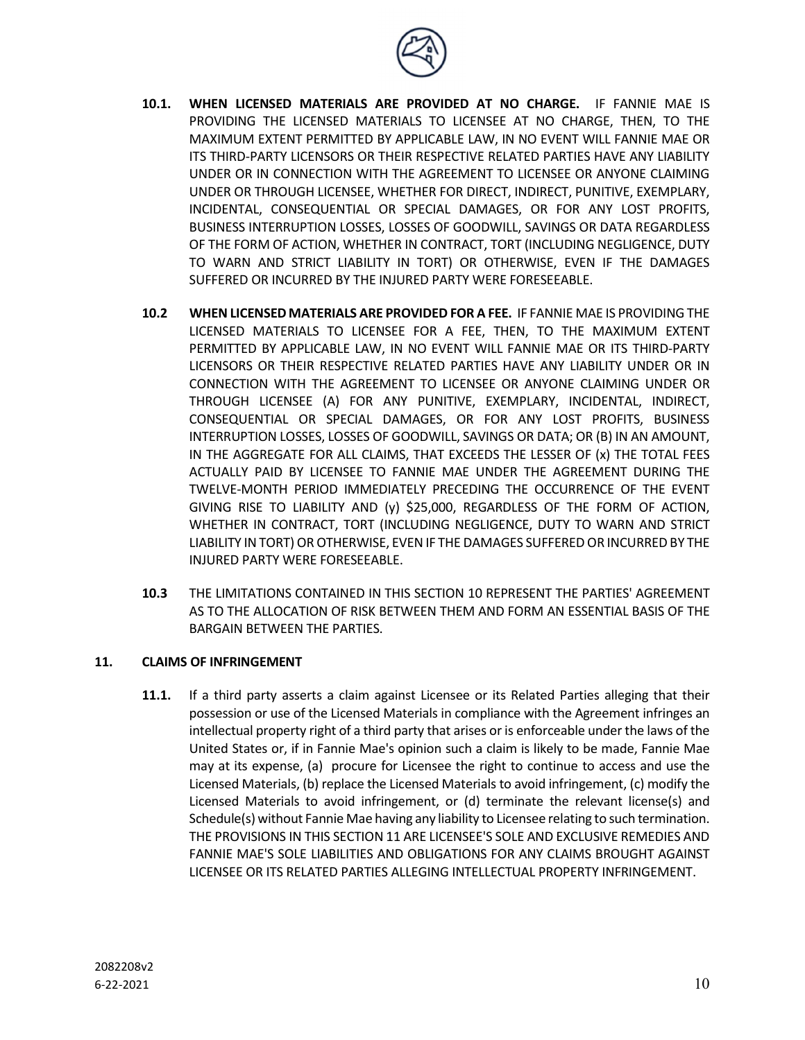

- 10.1. WHEN LICENSED MATERIALS ARE PROVIDED AT NO CHARGE. IF FANNIE MAE IS PROVIDING THE LICENSED MATERIALS TO LICENSEE AT NO CHARGE, THEN, TO THE MAXIMUM EXTENT PERMITTED BY APPLICABLE LAW, IN NO EVENT WILL FANNIE MAE OR ITS THIRD-PARTY LICENSORS OR THEIR RESPECTIVE RELATED PARTIES HAVE ANY LIABILITY UNDER OR IN CONNECTION WITH THE AGREEMENT TO LICENSEE OR ANYONE CLAIMING UNDER OR THROUGH LICENSEE, WHETHER FOR DIRECT, INDIRECT, PUNITIVE, EXEMPLARY, INCIDENTAL, CONSEQUENTIAL OR SPECIAL DAMAGES, OR FOR ANY LOST PROFITS, BUSINESS INTERRUPTION LOSSES, LOSSES OF GOODWILL, SAVINGS OR DATA REGARDLESS OF THE FORM OF ACTION, WHETHER IN CONTRACT, TORT (INCLUDING NEGLIGENCE, DUTY TO WARN AND STRICT LIABILITY IN TORT) OR OTHERWISE, EVEN IF THE DAMAGES SUFFERED OR INCURRED BY THE INJURED PARTY WERE FORESEEABLE.
- 10.2 WHEN LICENSED MATERIALS ARE PROVIDED FOR A FEE. IF FANNIE MAE IS PROVIDING THE LICENSED MATERIALS TO LICENSEE FOR A FEE, THEN, TO THE MAXIMUM EXTENT PERMITTED BY APPLICABLE LAW, IN NO EVENT WILL FANNIE MAE OR ITS THIRD-PARTY LICENSORS OR THEIR RESPECTIVE RELATED PARTIES HAVE ANY LIABILITY UNDER OR IN CONNECTION WITH THE AGREEMENT TO LICENSEE OR ANYONE CLAIMING UNDER OR THROUGH LICENSEE (A) FOR ANY PUNITIVE, EXEMPLARY, INCIDENTAL, INDIRECT, CONSEQUENTIAL OR SPECIAL DAMAGES, OR FOR ANY LOST PROFITS, BUSINESS INTERRUPTION LOSSES, LOSSES OF GOODWILL, SAVINGS OR DATA; OR (B) IN AN AMOUNT, IN THE AGGREGATE FOR ALL CLAIMS, THAT EXCEEDS THE LESSER OF (x) THE TOTAL FEES ACTUALLY PAID BY LICENSEE TO FANNIE MAE UNDER THE AGREEMENT DURING THE TWELVE-MONTH PERIOD IMMEDIATELY PRECEDING THE OCCURRENCE OF THE EVENT GIVING RISE TO LIABILITY AND (y) \$25,000, REGARDLESS OF THE FORM OF ACTION, WHETHER IN CONTRACT, TORT (INCLUDING NEGLIGENCE, DUTY TO WARN AND STRICT LIABILITY IN TORT) OR OTHERWISE, EVEN IF THE DAMAGES SUFFERED OR INCURRED BY THE INJURED PARTY WERE FORESEEABLE.
- 10.3 THE LIMITATIONS CONTAINED IN THIS SECTION 10 REPRESENT THE PARTIES' AGREEMENT AS TO THE ALLOCATION OF RISK BETWEEN THEM AND FORM AN ESSENTIAL BASIS OF THE BARGAIN BETWEEN THE PARTIES.

### 11. CLAIMS OF INFRINGEMENT

11.1. If a third party asserts a claim against Licensee or its Related Parties alleging that their possession or use of the Licensed Materials in compliance with the Agreement infringes an intellectual property right of a third party that arises or is enforceable under the laws of the United States or, if in Fannie Mae's opinion such a claim is likely to be made, Fannie Mae may at its expense, (a) procure for Licensee the right to continue to access and use the Licensed Materials, (b) replace the Licensed Materials to avoid infringement, (c) modify the Licensed Materials to avoid infringement, or (d) terminate the relevant license(s) and Schedule(s) without Fannie Mae having any liability to Licensee relating to such termination. THE PROVISIONS IN THIS SECTION 11 ARE LICENSEE'S SOLE AND EXCLUSIVE REMEDIES AND FANNIE MAE'S SOLE LIABILITIES AND OBLIGATIONS FOR ANY CLAIMS BROUGHT AGAINST LICENSEE OR ITS RELATED PARTIES ALLEGING INTELLECTUAL PROPERTY INFRINGEMENT.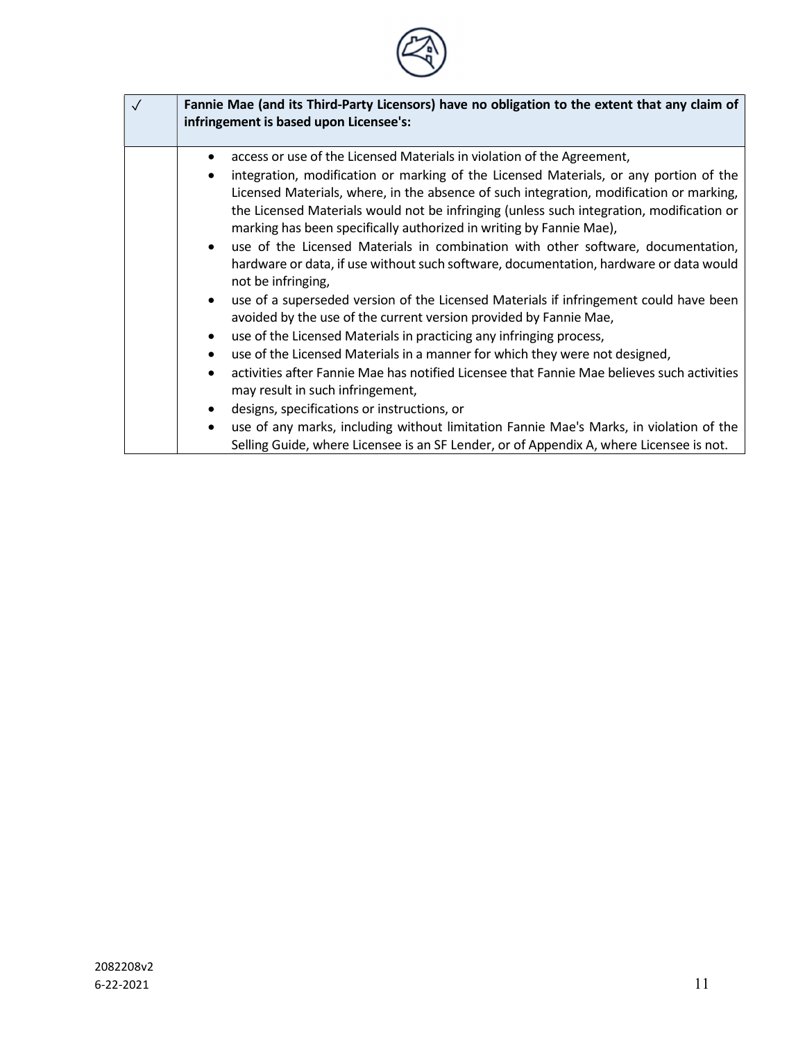| $\checkmark$ | Fannie Mae (and its Third-Party Licensors) have no obligation to the extent that any claim of<br>infringement is based upon Licensee's: |  |
|--------------|-----------------------------------------------------------------------------------------------------------------------------------------|--|
|              | access or use of the Licensed Materials in violation of the Agreement,                                                                  |  |
|              | integration, modification or marking of the Licensed Materials, or any portion of the                                                   |  |
|              | Licensed Materials, where, in the absence of such integration, modification or marking,                                                 |  |
|              | the Licensed Materials would not be infringing (unless such integration, modification or                                                |  |
|              | marking has been specifically authorized in writing by Fannie Mae),                                                                     |  |
|              | use of the Licensed Materials in combination with other software, documentation,<br>$\bullet$                                           |  |
|              | hardware or data, if use without such software, documentation, hardware or data would                                                   |  |
|              | not be infringing,                                                                                                                      |  |
|              | use of a superseded version of the Licensed Materials if infringement could have been<br>$\bullet$                                      |  |
|              | avoided by the use of the current version provided by Fannie Mae,                                                                       |  |
|              | use of the Licensed Materials in practicing any infringing process,<br>٠                                                                |  |
|              | use of the Licensed Materials in a manner for which they were not designed,                                                             |  |
|              | activities after Fannie Mae has notified Licensee that Fannie Mae believes such activities                                              |  |
|              | may result in such infringement,                                                                                                        |  |
|              | designs, specifications or instructions, or<br>٠                                                                                        |  |
|              | use of any marks, including without limitation Fannie Mae's Marks, in violation of the<br>$\bullet$                                     |  |
|              | Selling Guide, where Licensee is an SF Lender, or of Appendix A, where Licensee is not.                                                 |  |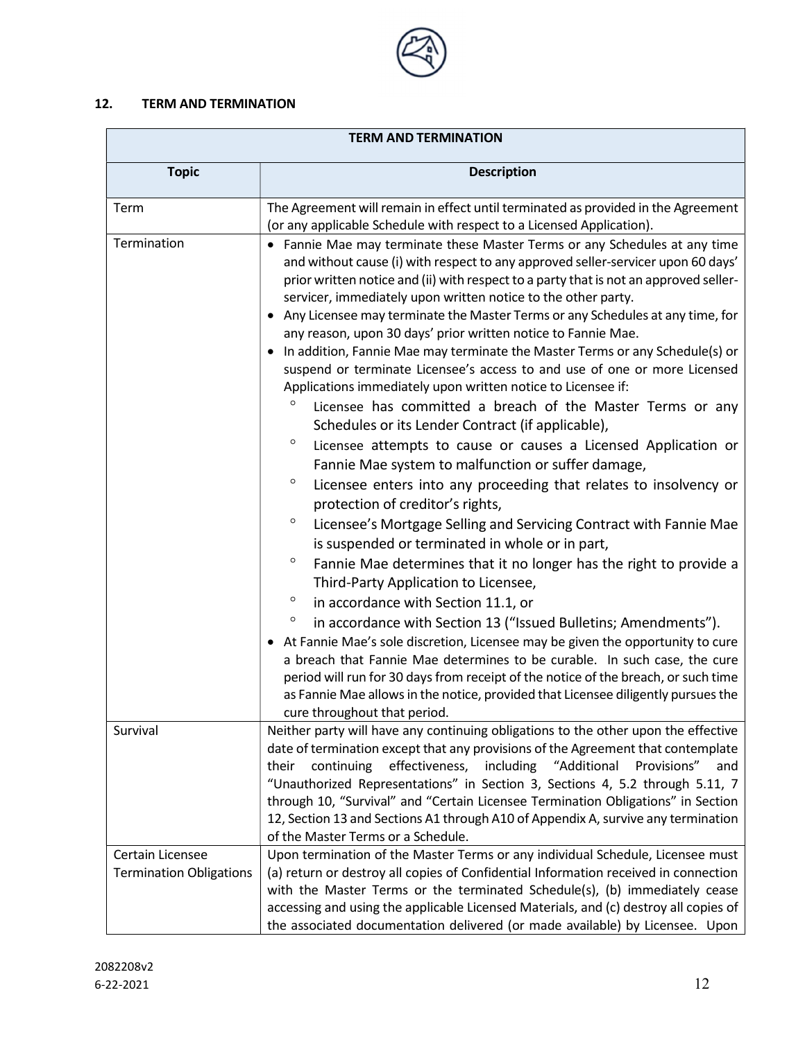

# 12. TERM AND TERMINATION

| <b>TERM AND TERMINATION</b>                        |                                                                                                                                                                                                                                                                                                                                                                                                                                                                                                                                                                                                                                                                                                                                                                                                                                                                                                                                                                                                                                                                                                                                                                                                                                                                                                                                                                                                                                                                                                                                                                                                                                                                                                                                                                                                                                                              |
|----------------------------------------------------|--------------------------------------------------------------------------------------------------------------------------------------------------------------------------------------------------------------------------------------------------------------------------------------------------------------------------------------------------------------------------------------------------------------------------------------------------------------------------------------------------------------------------------------------------------------------------------------------------------------------------------------------------------------------------------------------------------------------------------------------------------------------------------------------------------------------------------------------------------------------------------------------------------------------------------------------------------------------------------------------------------------------------------------------------------------------------------------------------------------------------------------------------------------------------------------------------------------------------------------------------------------------------------------------------------------------------------------------------------------------------------------------------------------------------------------------------------------------------------------------------------------------------------------------------------------------------------------------------------------------------------------------------------------------------------------------------------------------------------------------------------------------------------------------------------------------------------------------------------------|
| <b>Topic</b>                                       | <b>Description</b>                                                                                                                                                                                                                                                                                                                                                                                                                                                                                                                                                                                                                                                                                                                                                                                                                                                                                                                                                                                                                                                                                                                                                                                                                                                                                                                                                                                                                                                                                                                                                                                                                                                                                                                                                                                                                                           |
| Term                                               | The Agreement will remain in effect until terminated as provided in the Agreement<br>(or any applicable Schedule with respect to a Licensed Application).                                                                                                                                                                                                                                                                                                                                                                                                                                                                                                                                                                                                                                                                                                                                                                                                                                                                                                                                                                                                                                                                                                                                                                                                                                                                                                                                                                                                                                                                                                                                                                                                                                                                                                    |
| Termination                                        | • Fannie Mae may terminate these Master Terms or any Schedules at any time<br>and without cause (i) with respect to any approved seller-servicer upon 60 days'<br>prior written notice and (ii) with respect to a party that is not an approved seller-<br>servicer, immediately upon written notice to the other party.<br>• Any Licensee may terminate the Master Terms or any Schedules at any time, for<br>any reason, upon 30 days' prior written notice to Fannie Mae.<br>In addition, Fannie Mae may terminate the Master Terms or any Schedule(s) or<br>suspend or terminate Licensee's access to and use of one or more Licensed<br>Applications immediately upon written notice to Licensee if:<br>Licensee has committed a breach of the Master Terms or any<br>Schedules or its Lender Contract (if applicable),<br>$\circ$<br>Licensee attempts to cause or causes a Licensed Application or<br>Fannie Mae system to malfunction or suffer damage,<br>$\circ$<br>Licensee enters into any proceeding that relates to insolvency or<br>protection of creditor's rights,<br>$\circ$<br>Licensee's Mortgage Selling and Servicing Contract with Fannie Mae<br>is suspended or terminated in whole or in part,<br>$\circ$<br>Fannie Mae determines that it no longer has the right to provide a<br>Third-Party Application to Licensee,<br>$\circ$<br>in accordance with Section 11.1, or<br>$\circ$<br>in accordance with Section 13 ("Issued Bulletins; Amendments").<br>• At Fannie Mae's sole discretion, Licensee may be given the opportunity to cure<br>a breach that Fannie Mae determines to be curable. In such case, the cure<br>period will run for 30 days from receipt of the notice of the breach, or such time<br>as Fannie Mae allows in the notice, provided that Licensee diligently pursues the<br>cure throughout that period. |
| Survival                                           | Neither party will have any continuing obligations to the other upon the effective<br>date of termination except that any provisions of the Agreement that contemplate                                                                                                                                                                                                                                                                                                                                                                                                                                                                                                                                                                                                                                                                                                                                                                                                                                                                                                                                                                                                                                                                                                                                                                                                                                                                                                                                                                                                                                                                                                                                                                                                                                                                                       |
|                                                    | effectiveness,<br>"Additional<br>Provisions"<br>continuing<br>including<br>their<br>and<br>"Unauthorized Representations" in Section 3, Sections 4, 5.2 through 5.11, 7<br>through 10, "Survival" and "Certain Licensee Termination Obligations" in Section<br>12, Section 13 and Sections A1 through A10 of Appendix A, survive any termination<br>of the Master Terms or a Schedule.                                                                                                                                                                                                                                                                                                                                                                                                                                                                                                                                                                                                                                                                                                                                                                                                                                                                                                                                                                                                                                                                                                                                                                                                                                                                                                                                                                                                                                                                       |
| Certain Licensee<br><b>Termination Obligations</b> | Upon termination of the Master Terms or any individual Schedule, Licensee must<br>(a) return or destroy all copies of Confidential Information received in connection<br>with the Master Terms or the terminated Schedule(s), (b) immediately cease<br>accessing and using the applicable Licensed Materials, and (c) destroy all copies of<br>the associated documentation delivered (or made available) by Licensee. Upon                                                                                                                                                                                                                                                                                                                                                                                                                                                                                                                                                                                                                                                                                                                                                                                                                                                                                                                                                                                                                                                                                                                                                                                                                                                                                                                                                                                                                                  |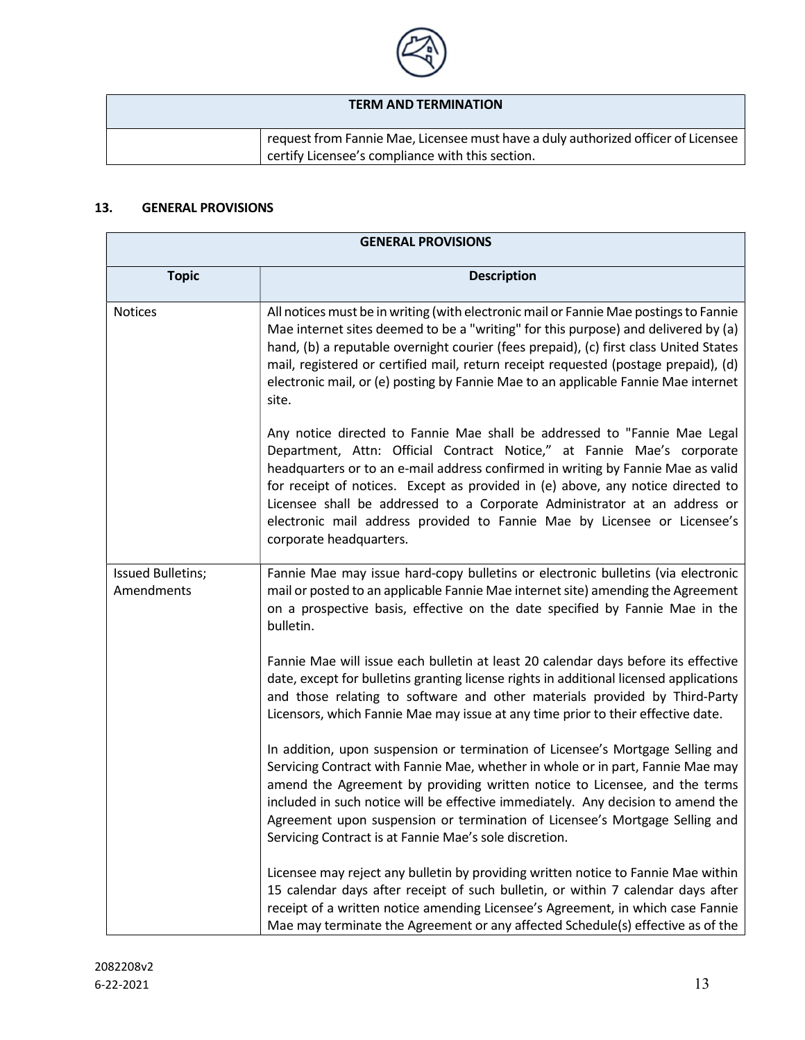

# TERM AND TERMINATION

request from Fannie Mae, Licensee must have a duly authorized officer of Licensee certify Licensee's compliance with this section.

# 13. GENERAL PROVISIONS

| <b>GENERAL PROVISIONS</b>       |                                                                                                                                                                                                                                                                                                                                                                                                                                                                                                                |
|---------------------------------|----------------------------------------------------------------------------------------------------------------------------------------------------------------------------------------------------------------------------------------------------------------------------------------------------------------------------------------------------------------------------------------------------------------------------------------------------------------------------------------------------------------|
| <b>Topic</b>                    | <b>Description</b>                                                                                                                                                                                                                                                                                                                                                                                                                                                                                             |
| <b>Notices</b>                  | All notices must be in writing (with electronic mail or Fannie Mae postings to Fannie<br>Mae internet sites deemed to be a "writing" for this purpose) and delivered by (a)<br>hand, (b) a reputable overnight courier (fees prepaid), (c) first class United States<br>mail, registered or certified mail, return receipt requested (postage prepaid), (d)<br>electronic mail, or (e) posting by Fannie Mae to an applicable Fannie Mae internet<br>site.                                                     |
|                                 | Any notice directed to Fannie Mae shall be addressed to "Fannie Mae Legal<br>Department, Attn: Official Contract Notice," at Fannie Mae's corporate<br>headquarters or to an e-mail address confirmed in writing by Fannie Mae as valid<br>for receipt of notices. Except as provided in (e) above, any notice directed to<br>Licensee shall be addressed to a Corporate Administrator at an address or<br>electronic mail address provided to Fannie Mae by Licensee or Licensee's<br>corporate headquarters. |
| Issued Bulletins;<br>Amendments | Fannie Mae may issue hard-copy bulletins or electronic bulletins (via electronic<br>mail or posted to an applicable Fannie Mae internet site) amending the Agreement<br>on a prospective basis, effective on the date specified by Fannie Mae in the<br>bulletin.                                                                                                                                                                                                                                              |
|                                 | Fannie Mae will issue each bulletin at least 20 calendar days before its effective<br>date, except for bulletins granting license rights in additional licensed applications<br>and those relating to software and other materials provided by Third-Party<br>Licensors, which Fannie Mae may issue at any time prior to their effective date.                                                                                                                                                                 |
|                                 | In addition, upon suspension or termination of Licensee's Mortgage Selling and<br>Servicing Contract with Fannie Mae, whether in whole or in part, Fannie Mae may<br>amend the Agreement by providing written notice to Licensee, and the terms<br>included in such notice will be effective immediately. Any decision to amend the<br>Agreement upon suspension or termination of Licensee's Mortgage Selling and<br>Servicing Contract is at Fannie Mae's sole discretion.                                   |
|                                 | Licensee may reject any bulletin by providing written notice to Fannie Mae within<br>15 calendar days after receipt of such bulletin, or within 7 calendar days after<br>receipt of a written notice amending Licensee's Agreement, in which case Fannie<br>Mae may terminate the Agreement or any affected Schedule(s) effective as of the                                                                                                                                                                    |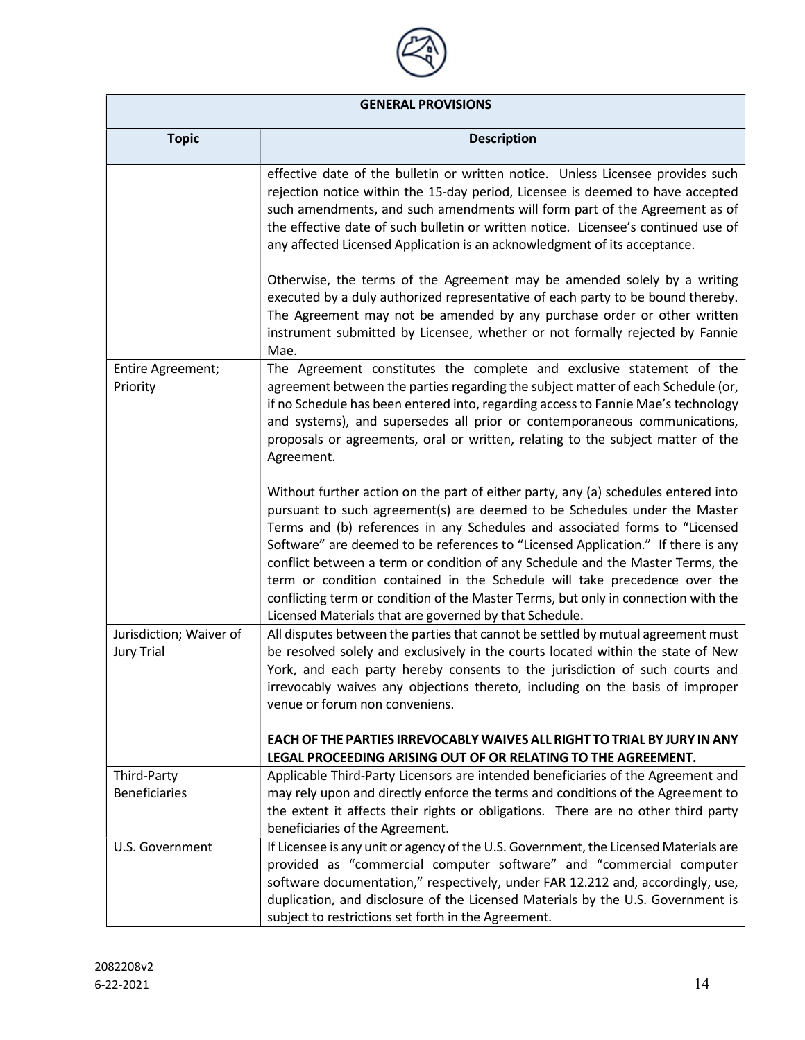

| <b>Topic</b>                                 | <b>Description</b>                                                                                                                                                                                                                                                                                                                                                                                                                                                                                                                                                                                                                                |
|----------------------------------------------|---------------------------------------------------------------------------------------------------------------------------------------------------------------------------------------------------------------------------------------------------------------------------------------------------------------------------------------------------------------------------------------------------------------------------------------------------------------------------------------------------------------------------------------------------------------------------------------------------------------------------------------------------|
|                                              | effective date of the bulletin or written notice. Unless Licensee provides such<br>rejection notice within the 15-day period, Licensee is deemed to have accepted<br>such amendments, and such amendments will form part of the Agreement as of<br>the effective date of such bulletin or written notice. Licensee's continued use of<br>any affected Licensed Application is an acknowledgment of its acceptance.                                                                                                                                                                                                                                |
|                                              | Otherwise, the terms of the Agreement may be amended solely by a writing<br>executed by a duly authorized representative of each party to be bound thereby.<br>The Agreement may not be amended by any purchase order or other written<br>instrument submitted by Licensee, whether or not formally rejected by Fannie<br>Mae.                                                                                                                                                                                                                                                                                                                    |
| Entire Agreement;<br>Priority                | The Agreement constitutes the complete and exclusive statement of the<br>agreement between the parties regarding the subject matter of each Schedule (or,<br>if no Schedule has been entered into, regarding access to Fannie Mae's technology<br>and systems), and supersedes all prior or contemporaneous communications,<br>proposals or agreements, oral or written, relating to the subject matter of the<br>Agreement.                                                                                                                                                                                                                      |
|                                              | Without further action on the part of either party, any (a) schedules entered into<br>pursuant to such agreement(s) are deemed to be Schedules under the Master<br>Terms and (b) references in any Schedules and associated forms to "Licensed<br>Software" are deemed to be references to "Licensed Application." If there is any<br>conflict between a term or condition of any Schedule and the Master Terms, the<br>term or condition contained in the Schedule will take precedence over the<br>conflicting term or condition of the Master Terms, but only in connection with the<br>Licensed Materials that are governed by that Schedule. |
| Jurisdiction; Waiver of<br><b>Jury Trial</b> | All disputes between the parties that cannot be settled by mutual agreement must<br>be resolved solely and exclusively in the courts located within the state of New<br>York, and each party hereby consents to the jurisdiction of such courts and<br>irrevocably waives any objections thereto, including on the basis of improper<br>venue or forum non conveniens.                                                                                                                                                                                                                                                                            |
|                                              | EACH OF THE PARTIES IRREVOCABLY WAIVES ALL RIGHT TO TRIAL BY JURY IN ANY<br>LEGAL PROCEEDING ARISING OUT OF OR RELATING TO THE AGREEMENT.                                                                                                                                                                                                                                                                                                                                                                                                                                                                                                         |
| Third-Party<br><b>Beneficiaries</b>          | Applicable Third-Party Licensors are intended beneficiaries of the Agreement and<br>may rely upon and directly enforce the terms and conditions of the Agreement to<br>the extent it affects their rights or obligations. There are no other third party<br>beneficiaries of the Agreement.                                                                                                                                                                                                                                                                                                                                                       |
| U.S. Government                              | If Licensee is any unit or agency of the U.S. Government, the Licensed Materials are<br>provided as "commercial computer software" and "commercial computer<br>software documentation," respectively, under FAR 12.212 and, accordingly, use,<br>duplication, and disclosure of the Licensed Materials by the U.S. Government is<br>subject to restrictions set forth in the Agreement.                                                                                                                                                                                                                                                           |

**The State**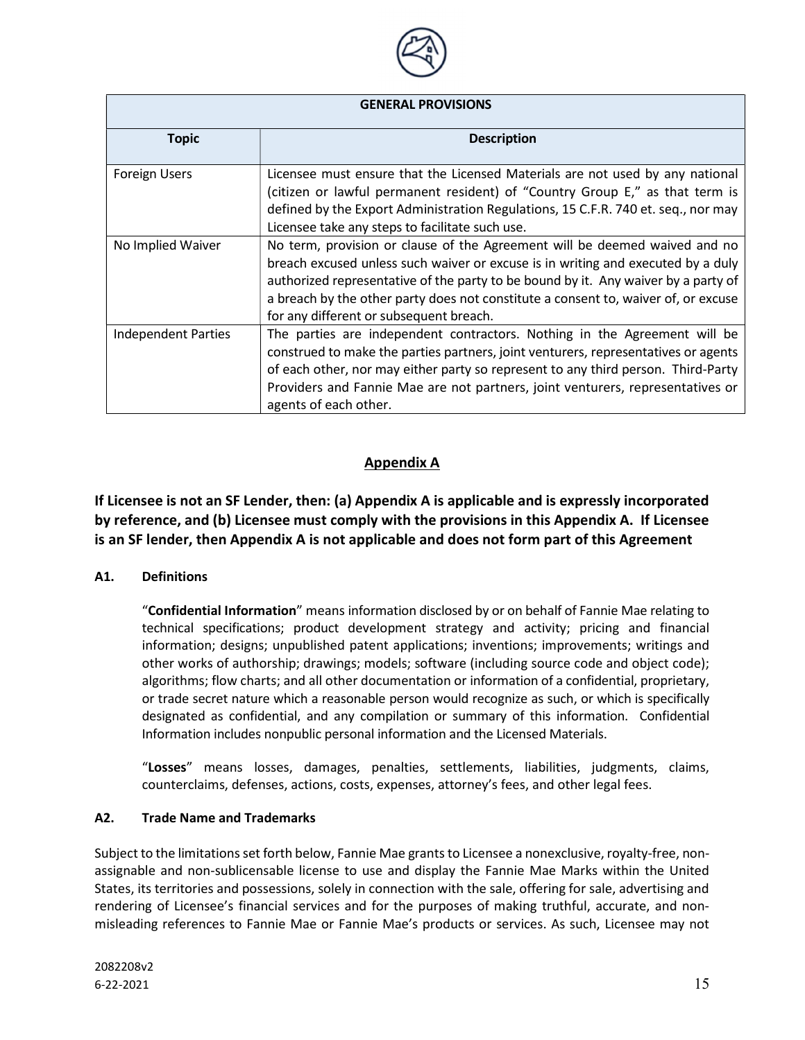

| <b>GENERAL PROVISIONS</b>  |                                                                                                                                                                                                                                                                                                                                                                                       |
|----------------------------|---------------------------------------------------------------------------------------------------------------------------------------------------------------------------------------------------------------------------------------------------------------------------------------------------------------------------------------------------------------------------------------|
| <b>Topic</b>               | <b>Description</b>                                                                                                                                                                                                                                                                                                                                                                    |
| <b>Foreign Users</b>       | Licensee must ensure that the Licensed Materials are not used by any national<br>(citizen or lawful permanent resident) of "Country Group E," as that term is<br>defined by the Export Administration Regulations, 15 C.F.R. 740 et. seq., nor may<br>Licensee take any steps to facilitate such use.                                                                                 |
| No Implied Waiver          | No term, provision or clause of the Agreement will be deemed waived and no<br>breach excused unless such waiver or excuse is in writing and executed by a duly<br>authorized representative of the party to be bound by it. Any waiver by a party of<br>a breach by the other party does not constitute a consent to, waiver of, or excuse<br>for any different or subsequent breach. |
| <b>Independent Parties</b> | The parties are independent contractors. Nothing in the Agreement will be<br>construed to make the parties partners, joint venturers, representatives or agents<br>of each other, nor may either party so represent to any third person. Third-Party<br>Providers and Fannie Mae are not partners, joint venturers, representatives or<br>agents of each other.                       |

# Appendix A

If Licensee is not an SF Lender, then: (a) Appendix A is applicable and is expressly incorporated by reference, and (b) Licensee must comply with the provisions in this Appendix A. If Licensee is an SF lender, then Appendix A is not applicable and does not form part of this Agreement

### A1. Definitions

"Confidential Information" means information disclosed by or on behalf of Fannie Mae relating to technical specifications; product development strategy and activity; pricing and financial information; designs; unpublished patent applications; inventions; improvements; writings and other works of authorship; drawings; models; software (including source code and object code); algorithms; flow charts; and all other documentation or information of a confidential, proprietary, or trade secret nature which a reasonable person would recognize as such, or which is specifically designated as confidential, and any compilation or summary of this information. Confidential Information includes nonpublic personal information and the Licensed Materials.

"Losses" means losses, damages, penalties, settlements, liabilities, judgments, claims, counterclaims, defenses, actions, costs, expenses, attorney's fees, and other legal fees.

### A2. Trade Name and Trademarks

Subject to the limitations set forth below, Fannie Mae grants to Licensee a nonexclusive, royalty-free, nonassignable and non-sublicensable license to use and display the Fannie Mae Marks within the United States, its territories and possessions, solely in connection with the sale, offering for sale, advertising and rendering of Licensee's financial services and for the purposes of making truthful, accurate, and nonmisleading references to Fannie Mae or Fannie Mae's products or services. As such, Licensee may not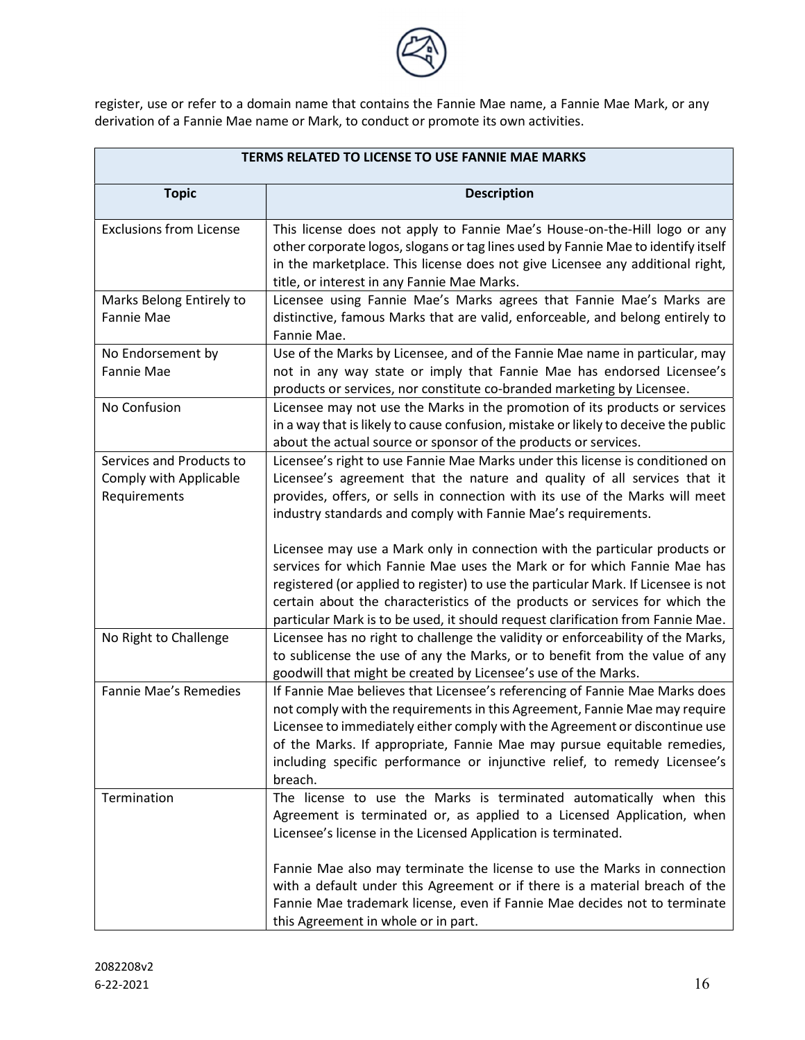

register, use or refer to a domain name that contains the Fannie Mae name, a Fannie Mae Mark, or any derivation of a Fannie Mae name or Mark, to conduct or promote its own activities.

| <b>TERMS RELATED TO LICENSE TO USE FANNIE MAE MARKS</b>                   |                                                                                                                                                                                                                                                                                                                                                                                                                                                                     |
|---------------------------------------------------------------------------|---------------------------------------------------------------------------------------------------------------------------------------------------------------------------------------------------------------------------------------------------------------------------------------------------------------------------------------------------------------------------------------------------------------------------------------------------------------------|
| <b>Topic</b>                                                              | <b>Description</b>                                                                                                                                                                                                                                                                                                                                                                                                                                                  |
| <b>Exclusions from License</b>                                            | This license does not apply to Fannie Mae's House-on-the-Hill logo or any<br>other corporate logos, slogans or tag lines used by Fannie Mae to identify itself<br>in the marketplace. This license does not give Licensee any additional right,<br>title, or interest in any Fannie Mae Marks.                                                                                                                                                                      |
| Marks Belong Entirely to<br>Fannie Mae                                    | Licensee using Fannie Mae's Marks agrees that Fannie Mae's Marks are<br>distinctive, famous Marks that are valid, enforceable, and belong entirely to<br>Fannie Mae.                                                                                                                                                                                                                                                                                                |
| No Endorsement by<br>Fannie Mae                                           | Use of the Marks by Licensee, and of the Fannie Mae name in particular, may<br>not in any way state or imply that Fannie Mae has endorsed Licensee's<br>products or services, nor constitute co-branded marketing by Licensee.                                                                                                                                                                                                                                      |
| No Confusion                                                              | Licensee may not use the Marks in the promotion of its products or services<br>in a way that is likely to cause confusion, mistake or likely to deceive the public<br>about the actual source or sponsor of the products or services.                                                                                                                                                                                                                               |
| Services and Products to<br><b>Comply with Applicable</b><br>Requirements | Licensee's right to use Fannie Mae Marks under this license is conditioned on<br>Licensee's agreement that the nature and quality of all services that it<br>provides, offers, or sells in connection with its use of the Marks will meet<br>industry standards and comply with Fannie Mae's requirements.<br>Licensee may use a Mark only in connection with the particular products or<br>services for which Fannie Mae uses the Mark or for which Fannie Mae has |
|                                                                           | registered (or applied to register) to use the particular Mark. If Licensee is not<br>certain about the characteristics of the products or services for which the<br>particular Mark is to be used, it should request clarification from Fannie Mae.                                                                                                                                                                                                                |
| No Right to Challenge                                                     | Licensee has no right to challenge the validity or enforceability of the Marks,<br>to sublicense the use of any the Marks, or to benefit from the value of any<br>goodwill that might be created by Licensee's use of the Marks.                                                                                                                                                                                                                                    |
| Fannie Mae's Remedies                                                     | If Fannie Mae believes that Licensee's referencing of Fannie Mae Marks does<br>not comply with the requirements in this Agreement, Fannie Mae may require<br>Licensee to immediately either comply with the Agreement or discontinue use<br>of the Marks. If appropriate, Fannie Mae may pursue equitable remedies,<br>including specific performance or injunctive relief, to remedy Licensee's<br>breach.                                                         |
| Termination                                                               | The license to use the Marks is terminated automatically when this<br>Agreement is terminated or, as applied to a Licensed Application, when<br>Licensee's license in the Licensed Application is terminated.                                                                                                                                                                                                                                                       |
|                                                                           | Fannie Mae also may terminate the license to use the Marks in connection<br>with a default under this Agreement or if there is a material breach of the<br>Fannie Mae trademark license, even if Fannie Mae decides not to terminate<br>this Agreement in whole or in part.                                                                                                                                                                                         |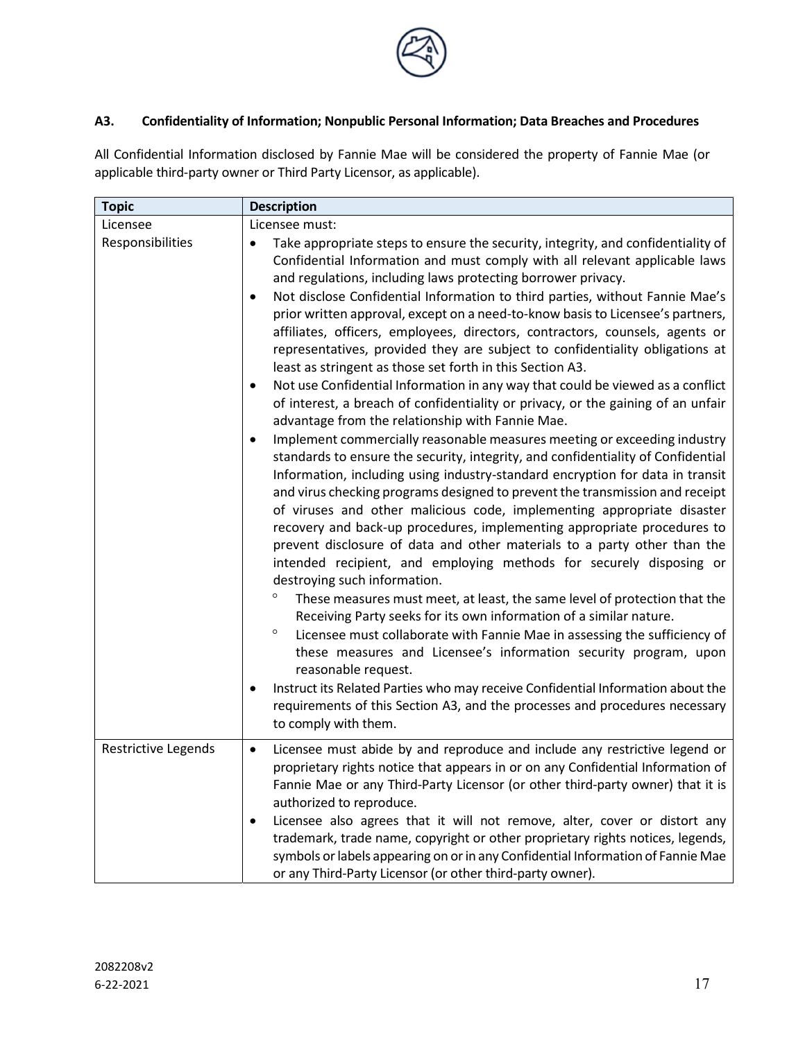

# A3. Confidentiality of Information; Nonpublic Personal Information; Data Breaches and Procedures

All Confidential Information disclosed by Fannie Mae will be considered the property of Fannie Mae (or applicable third-party owner or Third Party Licensor, as applicable).

| <b>Topic</b>                 | <b>Description</b>                                                                                                                                                                                                                                                                                                                                                                                                                                                                                                                                                                                                                                                                                                                                                                                                                                                                                                                                                                                                                                                                                                                                                                                                                                                                                                                                                                                                                                                                                                                                                                                                                                                                                                                                                                                                                                                                                                                                                                                                                                                                                                                                |
|------------------------------|---------------------------------------------------------------------------------------------------------------------------------------------------------------------------------------------------------------------------------------------------------------------------------------------------------------------------------------------------------------------------------------------------------------------------------------------------------------------------------------------------------------------------------------------------------------------------------------------------------------------------------------------------------------------------------------------------------------------------------------------------------------------------------------------------------------------------------------------------------------------------------------------------------------------------------------------------------------------------------------------------------------------------------------------------------------------------------------------------------------------------------------------------------------------------------------------------------------------------------------------------------------------------------------------------------------------------------------------------------------------------------------------------------------------------------------------------------------------------------------------------------------------------------------------------------------------------------------------------------------------------------------------------------------------------------------------------------------------------------------------------------------------------------------------------------------------------------------------------------------------------------------------------------------------------------------------------------------------------------------------------------------------------------------------------------------------------------------------------------------------------------------------------|
| Licensee<br>Responsibilities | Licensee must:<br>Take appropriate steps to ensure the security, integrity, and confidentiality of<br>Confidential Information and must comply with all relevant applicable laws<br>and regulations, including laws protecting borrower privacy.<br>Not disclose Confidential Information to third parties, without Fannie Mae's<br>$\bullet$<br>prior written approval, except on a need-to-know basis to Licensee's partners,<br>affiliates, officers, employees, directors, contractors, counsels, agents or<br>representatives, provided they are subject to confidentiality obligations at<br>least as stringent as those set forth in this Section A3.<br>Not use Confidential Information in any way that could be viewed as a conflict<br>$\bullet$<br>of interest, a breach of confidentiality or privacy, or the gaining of an unfair<br>advantage from the relationship with Fannie Mae.<br>Implement commercially reasonable measures meeting or exceeding industry<br>$\bullet$<br>standards to ensure the security, integrity, and confidentiality of Confidential<br>Information, including using industry-standard encryption for data in transit<br>and virus checking programs designed to prevent the transmission and receipt<br>of viruses and other malicious code, implementing appropriate disaster<br>recovery and back-up procedures, implementing appropriate procedures to<br>prevent disclosure of data and other materials to a party other than the<br>intended recipient, and employing methods for securely disposing or<br>destroying such information.<br>$\circ$<br>These measures must meet, at least, the same level of protection that the<br>Receiving Party seeks for its own information of a similar nature.<br>$\circ$<br>Licensee must collaborate with Fannie Mae in assessing the sufficiency of<br>these measures and Licensee's information security program, upon<br>reasonable request.<br>Instruct its Related Parties who may receive Confidential Information about the<br>$\bullet$<br>requirements of this Section A3, and the processes and procedures necessary<br>to comply with them. |
| Restrictive Legends          | Licensee must abide by and reproduce and include any restrictive legend or<br>$\bullet$<br>proprietary rights notice that appears in or on any Confidential Information of<br>Fannie Mae or any Third-Party Licensor (or other third-party owner) that it is<br>authorized to reproduce.<br>Licensee also agrees that it will not remove, alter, cover or distort any<br>$\bullet$<br>trademark, trade name, copyright or other proprietary rights notices, legends,<br>symbols or labels appearing on or in any Confidential Information of Fannie Mae<br>or any Third-Party Licensor (or other third-party owner).                                                                                                                                                                                                                                                                                                                                                                                                                                                                                                                                                                                                                                                                                                                                                                                                                                                                                                                                                                                                                                                                                                                                                                                                                                                                                                                                                                                                                                                                                                                              |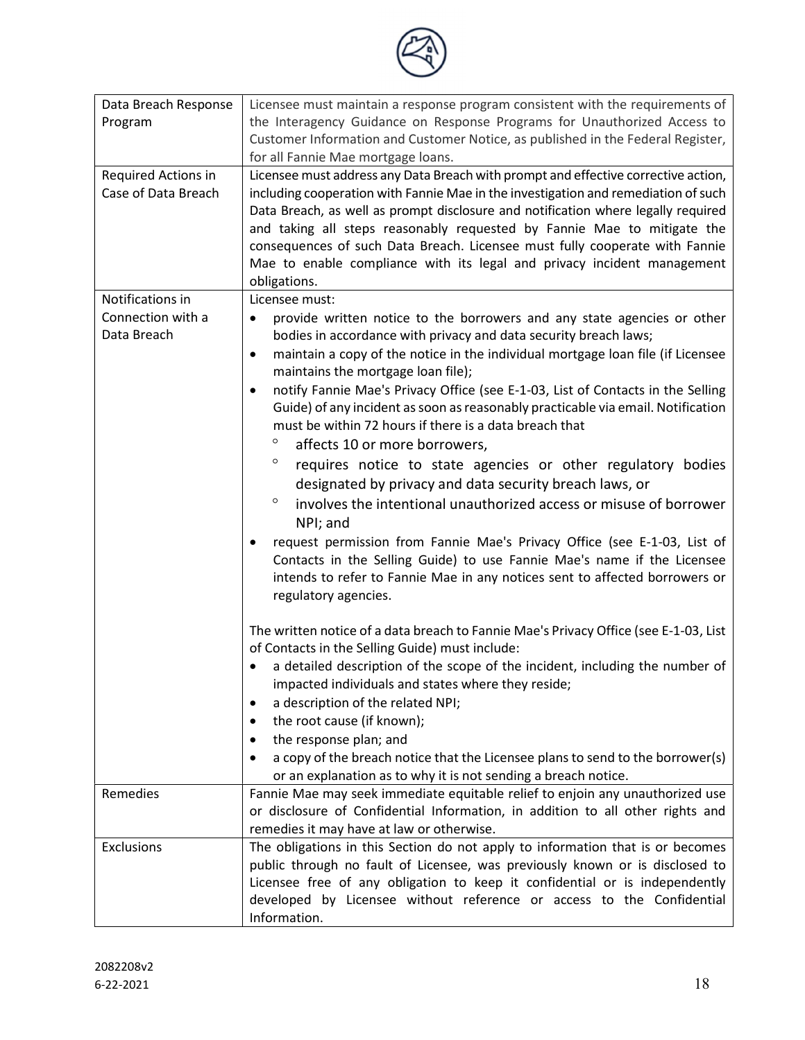

| Data Breach Response | Licensee must maintain a response program consistent with the requirements of                                                           |
|----------------------|-----------------------------------------------------------------------------------------------------------------------------------------|
| Program              | the Interagency Guidance on Response Programs for Unauthorized Access to                                                                |
|                      | Customer Information and Customer Notice, as published in the Federal Register,                                                         |
|                      | for all Fannie Mae mortgage loans.                                                                                                      |
| Required Actions in  | Licensee must address any Data Breach with prompt and effective corrective action,                                                      |
| Case of Data Breach  | including cooperation with Fannie Mae in the investigation and remediation of such                                                      |
|                      | Data Breach, as well as prompt disclosure and notification where legally required                                                       |
|                      | and taking all steps reasonably requested by Fannie Mae to mitigate the                                                                 |
|                      | consequences of such Data Breach. Licensee must fully cooperate with Fannie                                                             |
|                      | Mae to enable compliance with its legal and privacy incident management                                                                 |
|                      | obligations.                                                                                                                            |
| Notifications in     | Licensee must:                                                                                                                          |
| Connection with a    | provide written notice to the borrowers and any state agencies or other<br>$\bullet$                                                    |
| Data Breach          | bodies in accordance with privacy and data security breach laws;                                                                        |
|                      | maintain a copy of the notice in the individual mortgage loan file (if Licensee<br>$\bullet$                                            |
|                      | maintains the mortgage loan file);                                                                                                      |
|                      | notify Fannie Mae's Privacy Office (see E-1-03, List of Contacts in the Selling<br>$\bullet$                                            |
|                      | Guide) of any incident as soon as reasonably practicable via email. Notification                                                        |
|                      | must be within 72 hours if there is a data breach that                                                                                  |
|                      | $\circ$<br>affects 10 or more borrowers,                                                                                                |
|                      | $\circ$<br>requires notice to state agencies or other regulatory bodies                                                                 |
|                      | designated by privacy and data security breach laws, or                                                                                 |
|                      | $\circ$<br>involves the intentional unauthorized access or misuse of borrower                                                           |
|                      | NPI; and                                                                                                                                |
|                      | request permission from Fannie Mae's Privacy Office (see E-1-03, List of<br>٠                                                           |
|                      | Contacts in the Selling Guide) to use Fannie Mae's name if the Licensee                                                                 |
|                      | intends to refer to Fannie Mae in any notices sent to affected borrowers or                                                             |
|                      | regulatory agencies.                                                                                                                    |
|                      |                                                                                                                                         |
|                      | The written notice of a data breach to Fannie Mae's Privacy Office (see E-1-03, List<br>of Contacts in the Selling Guide) must include: |
|                      | a detailed description of the scope of the incident, including the number of                                                            |
|                      | impacted individuals and states where they reside;                                                                                      |
|                      | a description of the related NPI;<br>٠                                                                                                  |
|                      | the root cause (if known);<br>٠                                                                                                         |
|                      | the response plan; and<br>$\bullet$                                                                                                     |
|                      | a copy of the breach notice that the Licensee plans to send to the borrower(s)<br>$\bullet$                                             |
|                      | or an explanation as to why it is not sending a breach notice.                                                                          |
| Remedies             | Fannie Mae may seek immediate equitable relief to enjoin any unauthorized use                                                           |
|                      | or disclosure of Confidential Information, in addition to all other rights and                                                          |
|                      | remedies it may have at law or otherwise.                                                                                               |
| Exclusions           | The obligations in this Section do not apply to information that is or becomes                                                          |
|                      | public through no fault of Licensee, was previously known or is disclosed to                                                            |
|                      | Licensee free of any obligation to keep it confidential or is independently                                                             |
|                      | developed by Licensee without reference or access to the Confidential                                                                   |
|                      | Information.                                                                                                                            |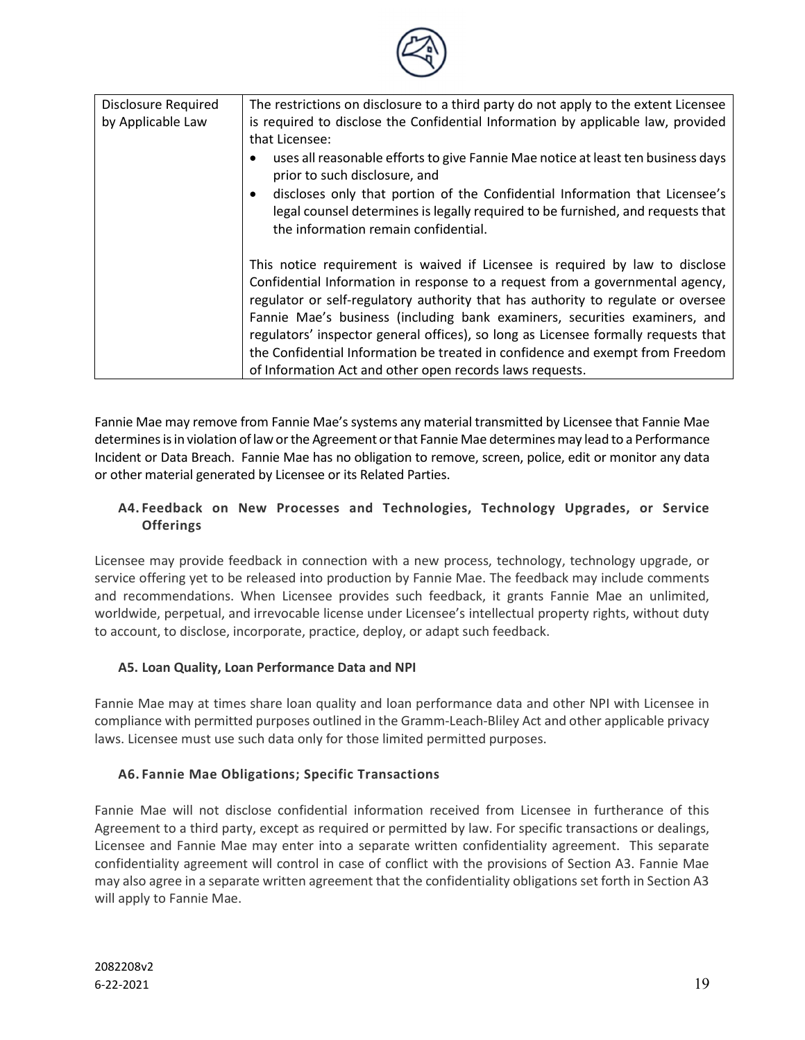

| Disclosure Required | The restrictions on disclosure to a third party do not apply to the extent Licensee                                                                                                                                                                                                                                                                                                                                                                                                                                                                                |
|---------------------|--------------------------------------------------------------------------------------------------------------------------------------------------------------------------------------------------------------------------------------------------------------------------------------------------------------------------------------------------------------------------------------------------------------------------------------------------------------------------------------------------------------------------------------------------------------------|
| by Applicable Law   | is required to disclose the Confidential Information by applicable law, provided                                                                                                                                                                                                                                                                                                                                                                                                                                                                                   |
|                     | that Licensee:                                                                                                                                                                                                                                                                                                                                                                                                                                                                                                                                                     |
|                     | uses all reasonable efforts to give Fannie Mae notice at least ten business days<br>prior to such disclosure, and                                                                                                                                                                                                                                                                                                                                                                                                                                                  |
|                     | discloses only that portion of the Confidential Information that Licensee's<br>$\bullet$<br>legal counsel determines is legally required to be furnished, and requests that<br>the information remain confidential.                                                                                                                                                                                                                                                                                                                                                |
|                     | This notice requirement is waived if Licensee is required by law to disclose<br>Confidential Information in response to a request from a governmental agency,<br>regulator or self-regulatory authority that has authority to regulate or oversee<br>Fannie Mae's business (including bank examiners, securities examiners, and<br>regulators' inspector general offices), so long as Licensee formally requests that<br>the Confidential Information be treated in confidence and exempt from Freedom<br>of Information Act and other open records laws requests. |

Fannie Mae may remove from Fannie Mae's systems any material transmitted by Licensee that Fannie Mae determines is in violation of law or the Agreement or that Fannie Mae determines may lead to a Performance Incident or Data Breach. Fannie Mae has no obligation to remove, screen, police, edit or monitor any data or other material generated by Licensee or its Related Parties.

# A4. Feedback on New Processes and Technologies, Technology Upgrades, or Service **Offerings**

Licensee may provide feedback in connection with a new process, technology, technology upgrade, or service offering yet to be released into production by Fannie Mae. The feedback may include comments and recommendations. When Licensee provides such feedback, it grants Fannie Mae an unlimited, worldwide, perpetual, and irrevocable license under Licensee's intellectual property rights, without duty to account, to disclose, incorporate, practice, deploy, or adapt such feedback.

# A5. Loan Quality, Loan Performance Data and NPI

Fannie Mae may at times share loan quality and loan performance data and other NPI with Licensee in compliance with permitted purposes outlined in the Gramm-Leach-Bliley Act and other applicable privacy laws. Licensee must use such data only for those limited permitted purposes.

# A6. Fannie Mae Obligations; Specific Transactions

Fannie Mae will not disclose confidential information received from Licensee in furtherance of this Agreement to a third party, except as required or permitted by law. For specific transactions or dealings, Licensee and Fannie Mae may enter into a separate written confidentiality agreement. This separate confidentiality agreement will control in case of conflict with the provisions of Section A3. Fannie Mae may also agree in a separate written agreement that the confidentiality obligations set forth in Section A3 will apply to Fannie Mae.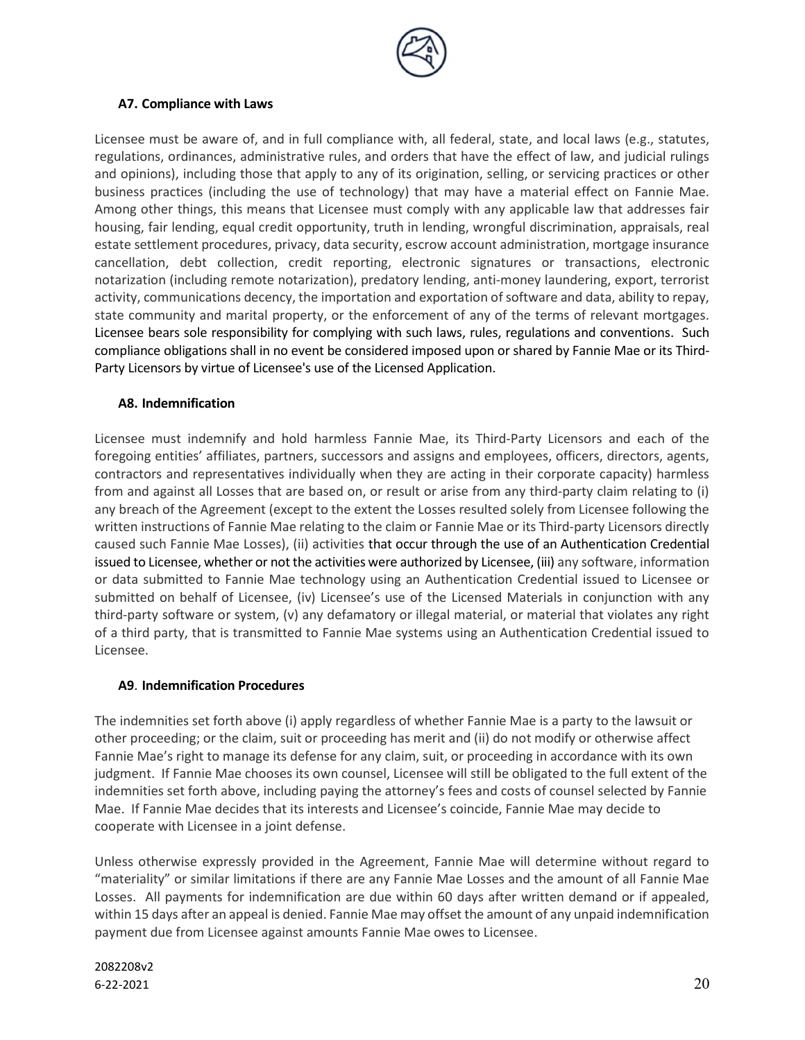

### A7. Compliance with Laws

Licensee must be aware of, and in full compliance with, all federal, state, and local laws (e.g., statutes, regulations, ordinances, administrative rules, and orders that have the effect of law, and judicial rulings and opinions), including those that apply to any of its origination, selling, or servicing practices or other business practices (including the use of technology) that may have a material effect on Fannie Mae. Among other things, this means that Licensee must comply with any applicable law that addresses fair housing, fair lending, equal credit opportunity, truth in lending, wrongful discrimination, appraisals, real estate settlement procedures, privacy, data security, escrow account administration, mortgage insurance cancellation, debt collection, credit reporting, electronic signatures or transactions, electronic notarization (including remote notarization), predatory lending, anti-money laundering, export, terrorist activity, communications decency, the importation and exportation of software and data, ability to repay, state community and marital property, or the enforcement of any of the terms of relevant mortgages. Licensee bears sole responsibility for complying with such laws, rules, regulations and conventions. Such compliance obligations shall in no event be considered imposed upon or shared by Fannie Mae or its Third-Party Licensors by virtue of Licensee's use of the Licensed Application.

### A8. Indemnification

Licensee must indemnify and hold harmless Fannie Mae, its Third-Party Licensors and each of the foregoing entities' affiliates, partners, successors and assigns and employees, officers, directors, agents, contractors and representatives individually when they are acting in their corporate capacity) harmless from and against all Losses that are based on, or result or arise from any third-party claim relating to (i) any breach of the Agreement (except to the extent the Losses resulted solely from Licensee following the written instructions of Fannie Mae relating to the claim or Fannie Mae or its Third-party Licensors directly caused such Fannie Mae Losses), (ii) activities that occur through the use of an Authentication Credential issued to Licensee, whether or not the activities were authorized by Licensee, (iii) any software, information or data submitted to Fannie Mae technology using an Authentication Credential issued to Licensee or submitted on behalf of Licensee, (iv) Licensee's use of the Licensed Materials in conjunction with any third-party software or system, (v) any defamatory or illegal material, or material that violates any right of a third party, that is transmitted to Fannie Mae systems using an Authentication Credential issued to Licensee.

# A9. Indemnification Procedures

The indemnities set forth above (i) apply regardless of whether Fannie Mae is a party to the lawsuit or other proceeding; or the claim, suit or proceeding has merit and (ii) do not modify or otherwise affect Fannie Mae's right to manage its defense for any claim, suit, or proceeding in accordance with its own judgment. If Fannie Mae chooses its own counsel, Licensee will still be obligated to the full extent of the indemnities set forth above, including paying the attorney's fees and costs of counsel selected by Fannie Mae. If Fannie Mae decides that its interests and Licensee's coincide, Fannie Mae may decide to cooperate with Licensee in a joint defense.

Unless otherwise expressly provided in the Agreement, Fannie Mae will determine without regard to "materiality" or similar limitations if there are any Fannie Mae Losses and the amount of all Fannie Mae Losses. All payments for indemnification are due within 60 days after written demand or if appealed, within 15 days after an appeal is denied. Fannie Mae may offset the amount of any unpaid indemnification payment due from Licensee against amounts Fannie Mae owes to Licensee.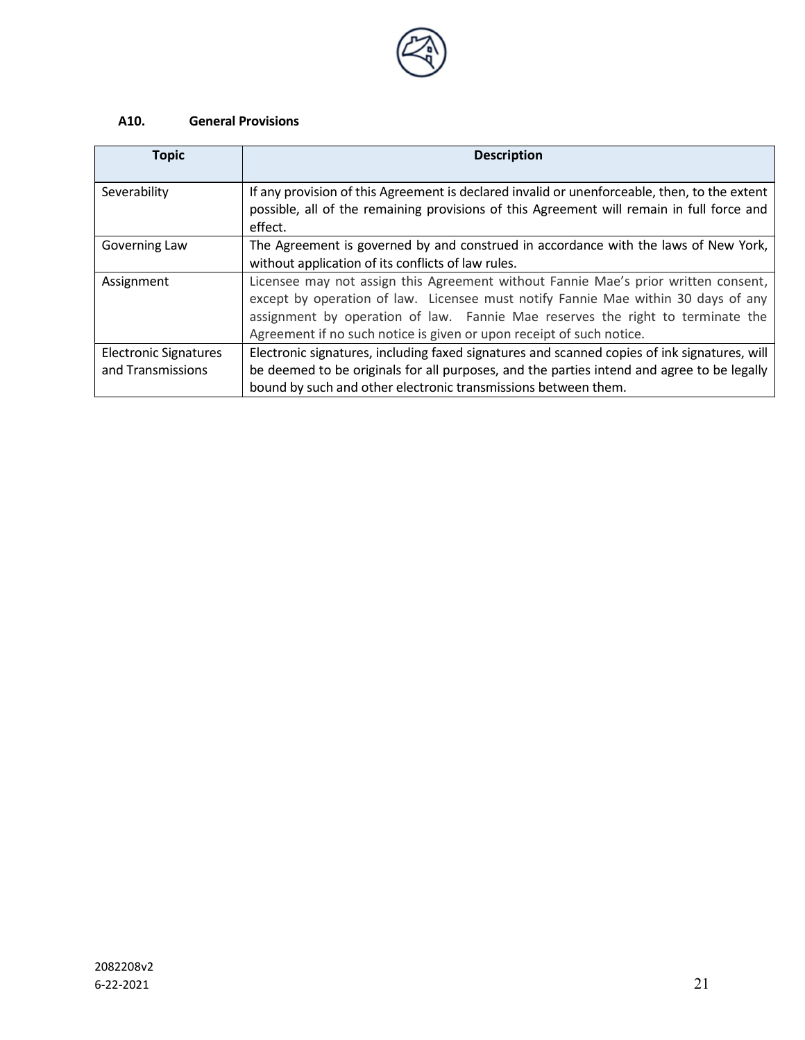

# A10. General Provisions

| <b>Topic</b>                                      | <b>Description</b>                                                                                                                                                                                                                                                                                                                |
|---------------------------------------------------|-----------------------------------------------------------------------------------------------------------------------------------------------------------------------------------------------------------------------------------------------------------------------------------------------------------------------------------|
| Severability                                      | If any provision of this Agreement is declared invalid or unenforceable, then, to the extent<br>possible, all of the remaining provisions of this Agreement will remain in full force and<br>effect.                                                                                                                              |
| Governing Law                                     | The Agreement is governed by and construed in accordance with the laws of New York,<br>without application of its conflicts of law rules.                                                                                                                                                                                         |
| Assignment                                        | Licensee may not assign this Agreement without Fannie Mae's prior written consent,<br>except by operation of law. Licensee must notify Fannie Mae within 30 days of any<br>assignment by operation of law. Fannie Mae reserves the right to terminate the<br>Agreement if no such notice is given or upon receipt of such notice. |
| <b>Electronic Signatures</b><br>and Transmissions | Electronic signatures, including faxed signatures and scanned copies of ink signatures, will<br>be deemed to be originals for all purposes, and the parties intend and agree to be legally<br>bound by such and other electronic transmissions between them.                                                                      |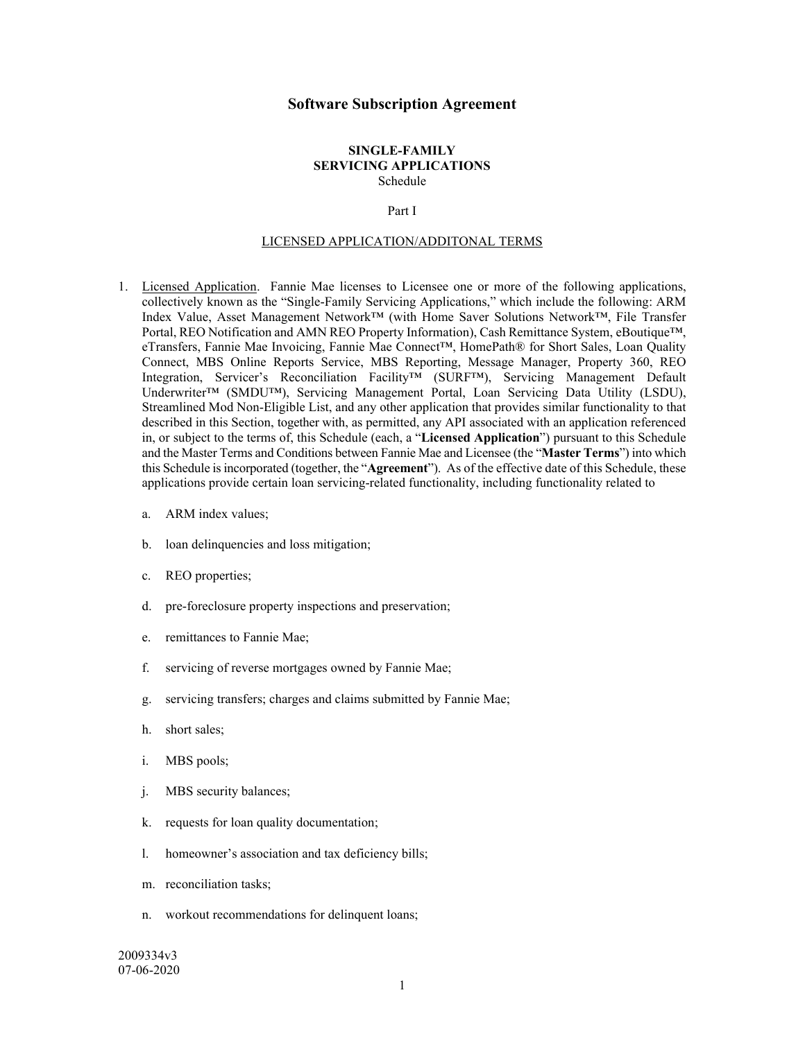#### **Software Subscription Agreement**

#### **SINGLE-FAMILY SERVICING APPLICATIONS** Schedule

#### Part I

#### LICENSED APPLICATION/ADDITONAL TERMS

- 1. Licensed Application. Fannie Mae licenses to Licensee one or more of the following applications, collectively known as the "Single-Family Servicing Applications," which include the following: ARM Index Value, Asset Management Network™ (with Home Saver Solutions Network™, File Transfer Portal, REO Notification and AMN REO Property Information), Cash Remittance System, eBoutique™, eTransfers, Fannie Mae Invoicing, Fannie Mae Connect™, HomePath® for Short Sales, Loan Quality Connect, MBS Online Reports Service, MBS Reporting, Message Manager, Property 360, REO Integration, Servicer's Reconciliation Facility™ (SURF™), Servicing Management Default Underwriter™ (SMDU™), Servicing Management Portal, Loan Servicing Data Utility (LSDU), Streamlined Mod Non-Eligible List, and any other application that provides similar functionality to that described in this Section, together with, as permitted, any API associated with an application referenced in, or subject to the terms of, this Schedule (each, a "**Licensed Application**") pursuant to this Schedule and the Master Terms and Conditions between Fannie Mae and Licensee (the "**Master Terms**") into which this Schedule is incorporated (together, the "**Agreement**"). As of the effective date of this Schedule, these applications provide certain loan servicing-related functionality, including functionality related to
	- a. ARM index values;
	- b. loan delinquencies and loss mitigation;
	- c. REO properties;
	- d. pre-foreclosure property inspections and preservation;
	- e. remittances to Fannie Mae;
	- f. servicing of reverse mortgages owned by Fannie Mae;
	- g. servicing transfers; charges and claims submitted by Fannie Mae;
	- h. short sales;
	- i. MBS pools;
	- j. MBS security balances;
	- k. requests for loan quality documentation;
	- l. homeowner's association and tax deficiency bills;
	- m. reconciliation tasks;
	- n. workout recommendations for delinquent loans;

2009334v3 07-06-2020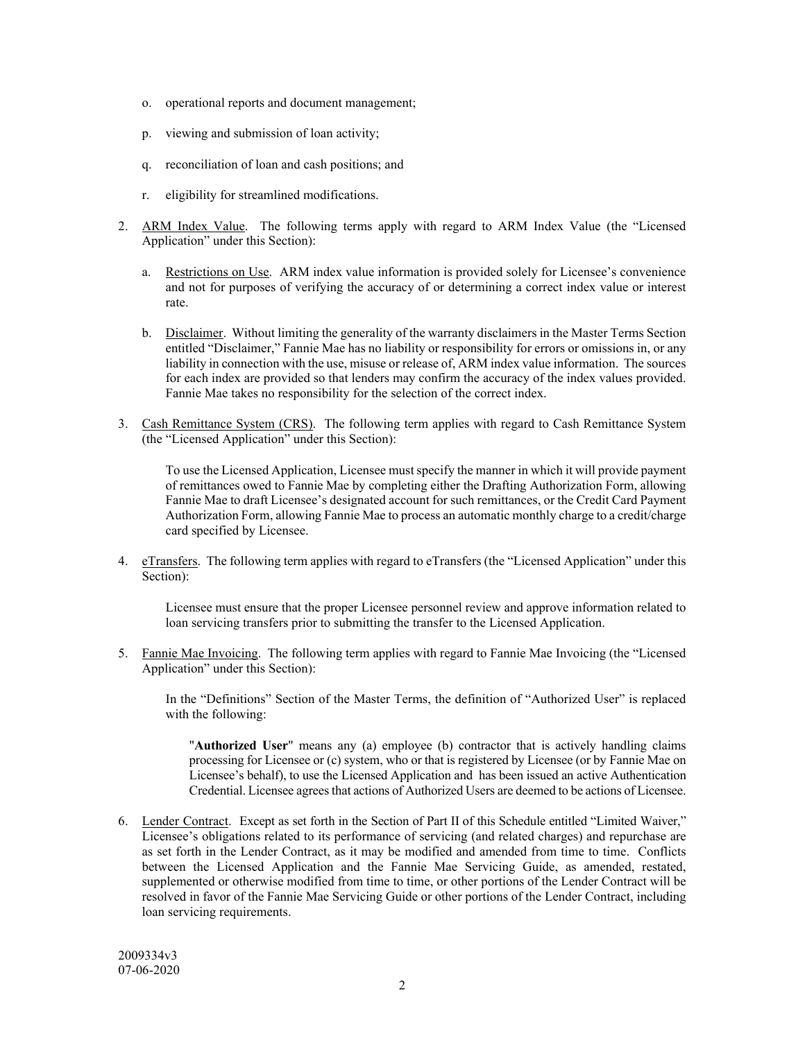- o. operational reports and document management;
- p. viewing and submission of loan activity;
- q. reconciliation of loan and cash positions; and
- r. eligibility for streamlined modifications.
- 2. ARM Index Value. The following terms apply with regard to ARM Index Value (the "Licensed Application" under this Section):
	- a. Restrictions on Use. ARM index value information is provided solely for Licensee's convenience and not for purposes of verifying the accuracy of or determining a correct index value or interest rate.
	- b. Disclaimer. Without limiting the generality of the warranty disclaimers in the Master Terms Section entitled "Disclaimer," Fannie Mae has no liability or responsibility for errors or omissions in, or any liability in connection with the use, misuse or release of, ARM index value information. The sources for each index are provided so that lenders may confirm the accuracy of the index values provided. Fannie Mae takes no responsibility for the selection of the correct index.
- 3. Cash Remittance System (CRS). The following term applies with regard to Cash Remittance System (the "Licensed Application" under this Section):

To use the Licensed Application, Licensee must specify the manner in which it will provide payment of remittances owed to Fannie Mae by completing either the Drafting Authorization Form, allowing Fannie Mae to draft Licensee's designated account for such remittances, or the Credit Card Payment Authorization Form, allowing Fannie Mae to process an automatic monthly charge to a credit/charge card specified by Licensee.

4. eTransfers. The following term applies with regard to eTransfers (the "Licensed Application" under this Section):

Licensee must ensure that the proper Licensee personnel review and approve information related to loan servicing transfers prior to submitting the transfer to the Licensed Application.

5. Fannie Mae Invoicing. The following term applies with regard to Fannie Mae Invoicing (the "Licensed Application" under this Section):

In the "Definitions" Section of the Master Terms, the definition of "Authorized User" is replaced with the following:

"**Authorized User**" means any (a) employee (b) contractor that is actively handling claims processing for Licensee or (c) system, who or that is registered by Licensee (or by Fannie Mae on Licensee's behalf), to use the Licensed Application and has been issued an active Authentication Credential. Licensee agrees that actions of Authorized Users are deemed to be actions of Licensee.

6. Lender Contract. Except as set forth in the Section of Part II of this Schedule entitled "Limited Waiver," Licensee's obligations related to its performance of servicing (and related charges) and repurchase are as set forth in the Lender Contract, as it may be modified and amended from time to time. Conflicts between the Licensed Application and the Fannie Mae Servicing Guide, as amended, restated, supplemented or otherwise modified from time to time, or other portions of the Lender Contract will be resolved in favor of the Fannie Mae Servicing Guide or other portions of the Lender Contract, including loan servicing requirements.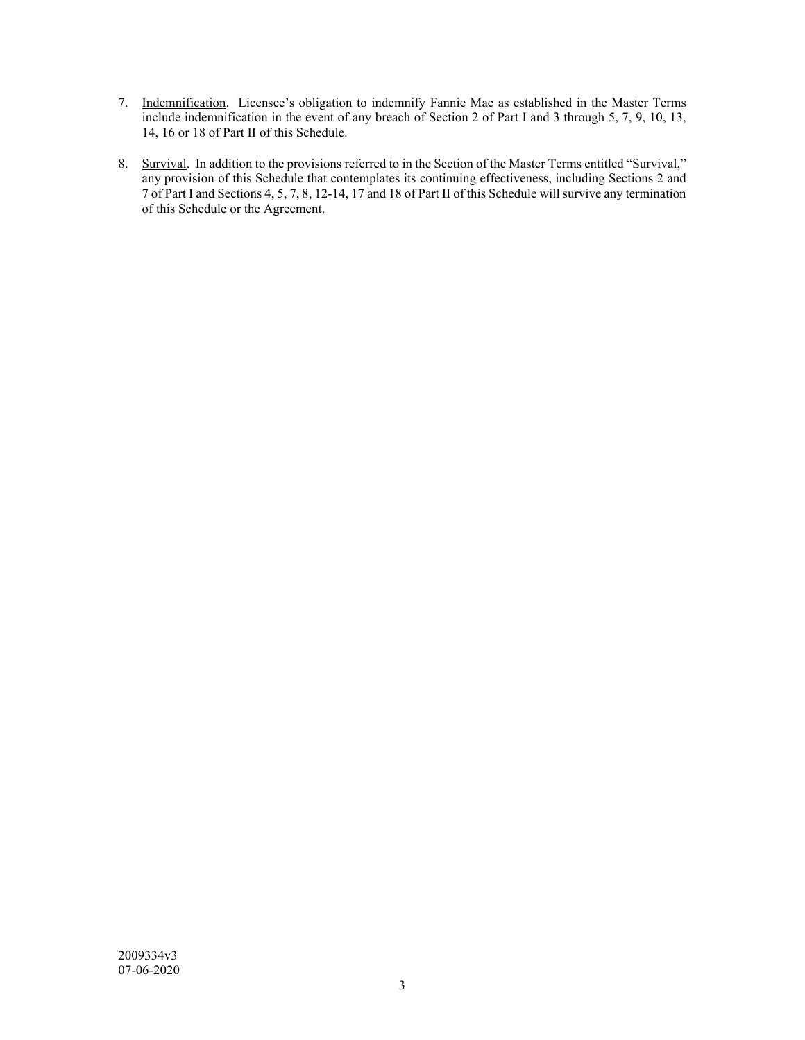- 7. Indemnification. Licensee's obligation to indemnify Fannie Mae as established in the Master Terms include indemnification in the event of any breach of Section 2 of Part I and 3 through 5, 7, 9, 10, 13, 14, 16 or 18 of Part II of this Schedule.
- 8. Survival. In addition to the provisions referred to in the Section of the Master Terms entitled "Survival," any provision of this Schedule that contemplates its continuing effectiveness, including Sections 2 and 7 of Part I and Sections 4, 5, 7, 8, 12-14, 17 and 18 of Part II of this Schedule will survive any termination of this Schedule or the Agreement.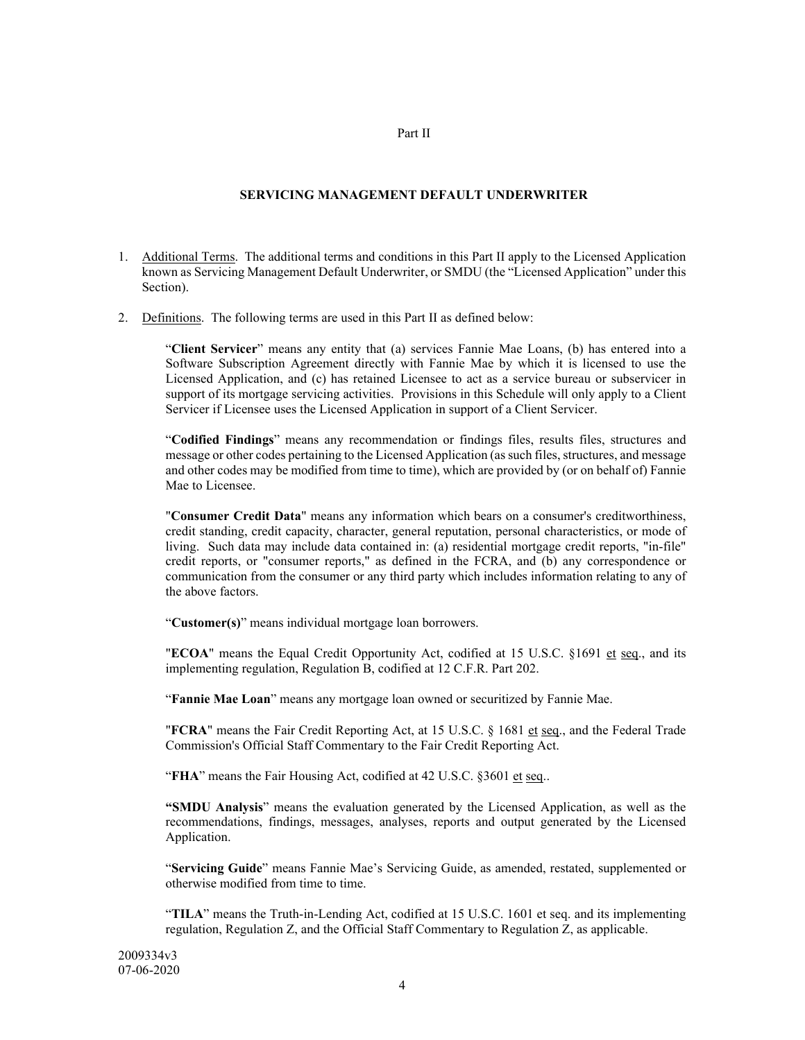#### Part II

#### **SERVICING MANAGEMENT DEFAULT UNDERWRITER**

- 1. Additional Terms. The additional terms and conditions in this Part II apply to the Licensed Application known as Servicing Management Default Underwriter, or SMDU (the "Licensed Application" under this Section).
- 2. Definitions. The following terms are used in this Part II as defined below:

"**Client Servicer**" means any entity that (a) services Fannie Mae Loans, (b) has entered into a Software Subscription Agreement directly with Fannie Mae by which it is licensed to use the Licensed Application, and (c) has retained Licensee to act as a service bureau or subservicer in support of its mortgage servicing activities. Provisions in this Schedule will only apply to a Client Servicer if Licensee uses the Licensed Application in support of a Client Servicer.

"**Codified Findings**" means any recommendation or findings files, results files, structures and message or other codes pertaining to the Licensed Application (as such files, structures, and message and other codes may be modified from time to time), which are provided by (or on behalf of) Fannie Mae to Licensee.

"**Consumer Credit Data**" means any information which bears on a consumer's creditworthiness, credit standing, credit capacity, character, general reputation, personal characteristics, or mode of living. Such data may include data contained in: (a) residential mortgage credit reports, "in-file" credit reports, or "consumer reports," as defined in the FCRA, and (b) any correspondence or communication from the consumer or any third party which includes information relating to any of the above factors.

"**Customer(s)**" means individual mortgage loan borrowers.

"**ECOA**" means the Equal Credit Opportunity Act, codified at 15 U.S.C. §1691 et seq., and its implementing regulation, Regulation B, codified at 12 C.F.R. Part 202.

"**Fannie Mae Loan**" means any mortgage loan owned or securitized by Fannie Mae.

"**FCRA**" means the Fair Credit Reporting Act, at 15 U.S.C. § 1681 et seq., and the Federal Trade Commission's Official Staff Commentary to the Fair Credit Reporting Act.

"**FHA**" means the Fair Housing Act, codified at 42 U.S.C. §3601 et seq..

**"SMDU Analysis**" means the evaluation generated by the Licensed Application, as well as the recommendations, findings, messages, analyses, reports and output generated by the Licensed Application.

"**Servicing Guide**" means Fannie Mae's Servicing Guide, as amended, restated, supplemented or otherwise modified from time to time.

"**TILA**" means the Truth-in-Lending Act, codified at 15 U.S.C. 1601 et seq. and its implementing regulation, Regulation Z, and the Official Staff Commentary to Regulation Z, as applicable.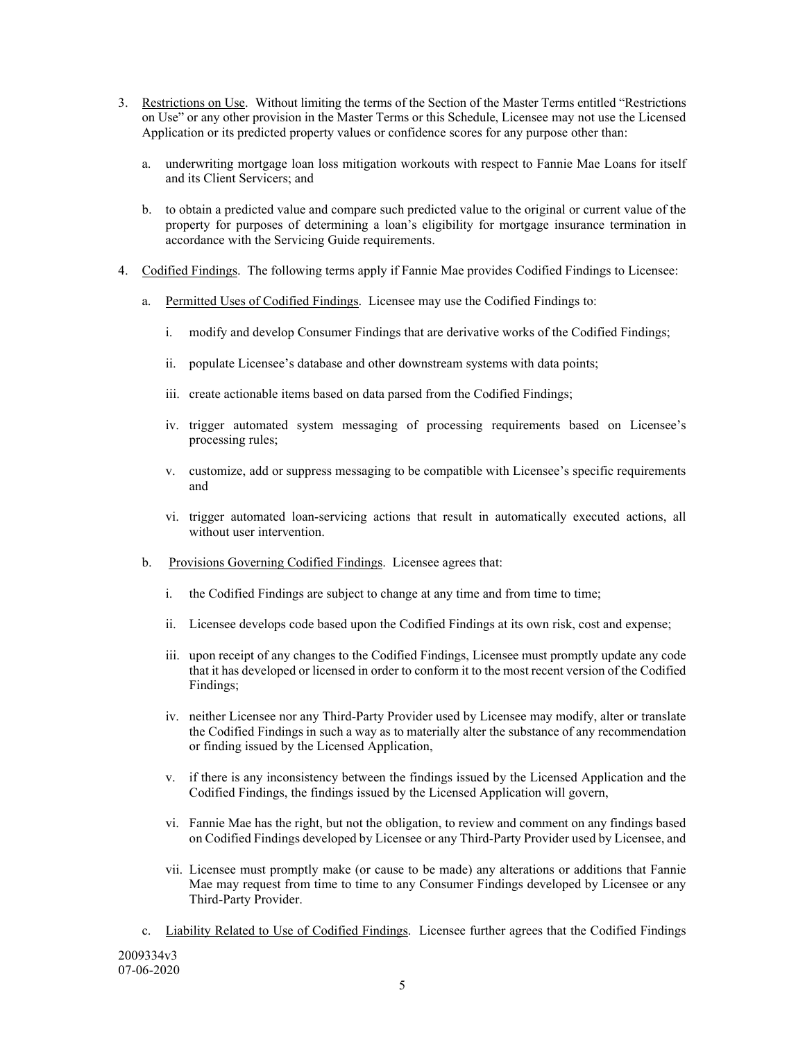- 3. Restrictions on Use. Without limiting the terms of the Section of the Master Terms entitled "Restrictions on Use" or any other provision in the Master Terms or this Schedule, Licensee may not use the Licensed Application or its predicted property values or confidence scores for any purpose other than:
	- a. underwriting mortgage loan loss mitigation workouts with respect to Fannie Mae Loans for itself and its Client Servicers; and
	- b. to obtain a predicted value and compare such predicted value to the original or current value of the property for purposes of determining a loan's eligibility for mortgage insurance termination in accordance with the Servicing Guide requirements.
- 4. Codified Findings. The following terms apply if Fannie Mae provides Codified Findings to Licensee:
	- a. Permitted Uses of Codified Findings. Licensee may use the Codified Findings to:
		- i. modify and develop Consumer Findings that are derivative works of the Codified Findings;
		- ii. populate Licensee's database and other downstream systems with data points;
		- iii. create actionable items based on data parsed from the Codified Findings;
		- iv. trigger automated system messaging of processing requirements based on Licensee's processing rules;
		- v. customize, add or suppress messaging to be compatible with Licensee's specific requirements and
		- vi. trigger automated loan-servicing actions that result in automatically executed actions, all without user intervention.
	- b. Provisions Governing Codified Findings. Licensee agrees that:
		- i. the Codified Findings are subject to change at any time and from time to time;
		- ii. Licensee develops code based upon the Codified Findings at its own risk, cost and expense;
		- iii. upon receipt of any changes to the Codified Findings, Licensee must promptly update any code that it has developed or licensed in order to conform it to the most recent version of the Codified Findings;
		- iv. neither Licensee nor any Third-Party Provider used by Licensee may modify, alter or translate the Codified Findings in such a way as to materially alter the substance of any recommendation or finding issued by the Licensed Application,
		- v. if there is any inconsistency between the findings issued by the Licensed Application and the Codified Findings, the findings issued by the Licensed Application will govern,
		- vi. Fannie Mae has the right, but not the obligation, to review and comment on any findings based on Codified Findings developed by Licensee or any Third-Party Provider used by Licensee, and
		- vii. Licensee must promptly make (or cause to be made) any alterations or additions that Fannie Mae may request from time to time to any Consumer Findings developed by Licensee or any Third-Party Provider.
- 2009334v3 07-06-2020 c. Liability Related to Use of Codified Findings. Licensee further agrees that the Codified Findings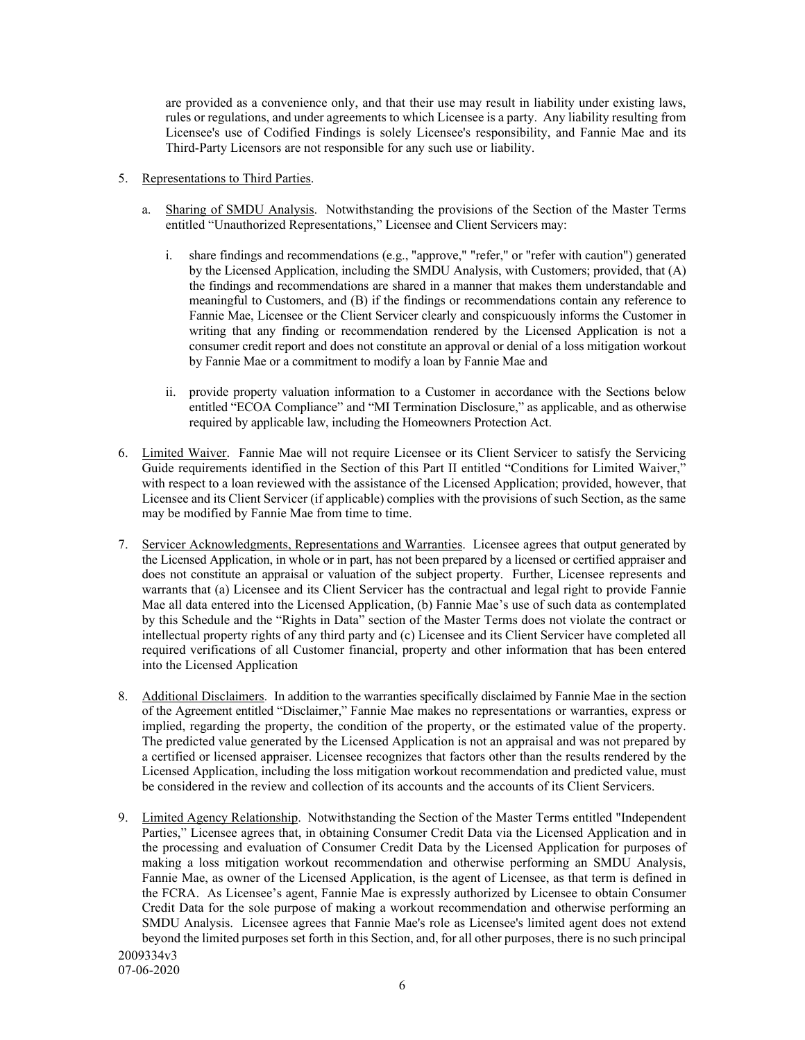are provided as a convenience only, and that their use may result in liability under existing laws, rules or regulations, and under agreements to which Licensee is a party. Any liability resulting from Licensee's use of Codified Findings is solely Licensee's responsibility, and Fannie Mae and its Third-Party Licensors are not responsible for any such use or liability.

- 5. Representations to Third Parties.
	- a. Sharing of SMDU Analysis. Notwithstanding the provisions of the Section of the Master Terms entitled "Unauthorized Representations," Licensee and Client Servicers may:
		- i. share findings and recommendations (e.g., "approve," "refer," or "refer with caution") generated by the Licensed Application, including the SMDU Analysis, with Customers; provided, that (A) the findings and recommendations are shared in a manner that makes them understandable and meaningful to Customers, and (B) if the findings or recommendations contain any reference to Fannie Mae, Licensee or the Client Servicer clearly and conspicuously informs the Customer in writing that any finding or recommendation rendered by the Licensed Application is not a consumer credit report and does not constitute an approval or denial of a loss mitigation workout by Fannie Mae or a commitment to modify a loan by Fannie Mae and
		- ii. provide property valuation information to a Customer in accordance with the Sections below entitled "ECOA Compliance" and "MI Termination Disclosure," as applicable, and as otherwise required by applicable law, including the Homeowners Protection Act.
- 6. Limited Waiver. Fannie Mae will not require Licensee or its Client Servicer to satisfy the Servicing Guide requirements identified in the Section of this Part II entitled "Conditions for Limited Waiver," with respect to a loan reviewed with the assistance of the Licensed Application; provided, however, that Licensee and its Client Servicer (if applicable) complies with the provisions of such Section, as the same may be modified by Fannie Mae from time to time.
- 7. Servicer Acknowledgments, Representations and Warranties. Licensee agrees that output generated by the Licensed Application, in whole or in part, has not been prepared by a licensed or certified appraiser and does not constitute an appraisal or valuation of the subject property. Further, Licensee represents and warrants that (a) Licensee and its Client Servicer has the contractual and legal right to provide Fannie Mae all data entered into the Licensed Application, (b) Fannie Mae's use of such data as contemplated by this Schedule and the "Rights in Data" section of the Master Terms does not violate the contract or intellectual property rights of any third party and (c) Licensee and its Client Servicer have completed all required verifications of all Customer financial, property and other information that has been entered into the Licensed Application
- 8. Additional Disclaimers. In addition to the warranties specifically disclaimed by Fannie Mae in the section of the Agreement entitled "Disclaimer," Fannie Mae makes no representations or warranties, express or implied, regarding the property, the condition of the property, or the estimated value of the property. The predicted value generated by the Licensed Application is not an appraisal and was not prepared by a certified or licensed appraiser. Licensee recognizes that factors other than the results rendered by the Licensed Application, including the loss mitigation workout recommendation and predicted value, must be considered in the review and collection of its accounts and the accounts of its Client Servicers.
- 2009334v3 9. Limited Agency Relationship. Notwithstanding the Section of the Master Terms entitled "Independent" Parties," Licensee agrees that, in obtaining Consumer Credit Data via the Licensed Application and in the processing and evaluation of Consumer Credit Data by the Licensed Application for purposes of making a loss mitigation workout recommendation and otherwise performing an SMDU Analysis, Fannie Mae, as owner of the Licensed Application, is the agent of Licensee, as that term is defined in the FCRA. As Licensee's agent, Fannie Mae is expressly authorized by Licensee to obtain Consumer Credit Data for the sole purpose of making a workout recommendation and otherwise performing an SMDU Analysis. Licensee agrees that Fannie Mae's role as Licensee's limited agent does not extend beyond the limited purposes set forth in this Section, and, for all other purposes, there is no such principal

07-06-2020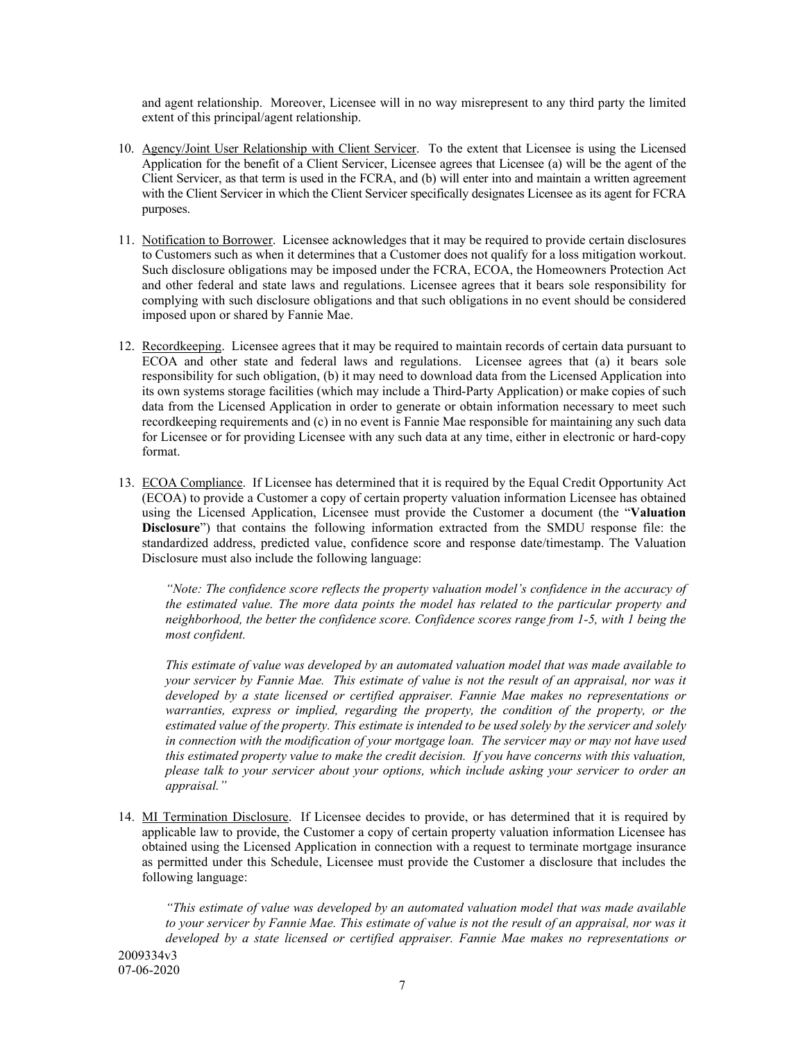and agent relationship. Moreover, Licensee will in no way misrepresent to any third party the limited extent of this principal/agent relationship.

- 10. Agency/Joint User Relationship with Client Servicer. To the extent that Licensee is using the Licensed Application for the benefit of a Client Servicer, Licensee agrees that Licensee (a) will be the agent of the Client Servicer, as that term is used in the FCRA, and (b) will enter into and maintain a written agreement with the Client Servicer in which the Client Servicer specifically designates Licensee as its agent for FCRA purposes.
- 11. Notification to Borrower. Licensee acknowledges that it may be required to provide certain disclosures to Customers such as when it determines that a Customer does not qualify for a loss mitigation workout. Such disclosure obligations may be imposed under the FCRA, ECOA, the Homeowners Protection Act and other federal and state laws and regulations. Licensee agrees that it bears sole responsibility for complying with such disclosure obligations and that such obligations in no event should be considered imposed upon or shared by Fannie Mae.
- 12. Recordkeeping. Licensee agrees that it may be required to maintain records of certain data pursuant to ECOA and other state and federal laws and regulations. Licensee agrees that (a) it bears sole responsibility for such obligation, (b) it may need to download data from the Licensed Application into its own systems storage facilities (which may include a Third-Party Application) or make copies of such data from the Licensed Application in order to generate or obtain information necessary to meet such recordkeeping requirements and (c) in no event is Fannie Mae responsible for maintaining any such data for Licensee or for providing Licensee with any such data at any time, either in electronic or hard-copy format.
- 13. ECOA Compliance. If Licensee has determined that it is required by the Equal Credit Opportunity Act (ECOA) to provide a Customer a copy of certain property valuation information Licensee has obtained using the Licensed Application, Licensee must provide the Customer a document (the "**Valuation Disclosure**") that contains the following information extracted from the SMDU response file: the standardized address, predicted value, confidence score and response date/timestamp. The Valuation Disclosure must also include the following language:

*"Note: The confidence score reflects the property valuation model's confidence in the accuracy of the estimated value. The more data points the model has related to the particular property and neighborhood, the better the confidence score. Confidence scores range from 1-5, with 1 being the most confident.*

*This estimate of value was developed by an automated valuation model that was made available to your servicer by Fannie Mae. This estimate of value is not the result of an appraisal, nor was it developed by a state licensed or certified appraiser. Fannie Mae makes no representations or warranties, express or implied, regarding the property, the condition of the property, or the estimated value of the property. This estimate is intended to be used solely by the servicer and solely in connection with the modification of your mortgage loan. The servicer may or may not have used this estimated property value to make the credit decision. If you have concerns with this valuation, please talk to your servicer about your options, which include asking your servicer to order an appraisal."*

14. MI Termination Disclosure. If Licensee decides to provide, or has determined that it is required by applicable law to provide, the Customer a copy of certain property valuation information Licensee has obtained using the Licensed Application in connection with a request to terminate mortgage insurance as permitted under this Schedule, Licensee must provide the Customer a disclosure that includes the following language:

2009334v3 07-06-2020 *"This estimate of value was developed by an automated valuation model that was made available to your servicer by Fannie Mae. This estimate of value is not the result of an appraisal, nor was it developed by a state licensed or certified appraiser. Fannie Mae makes no representations or* 

7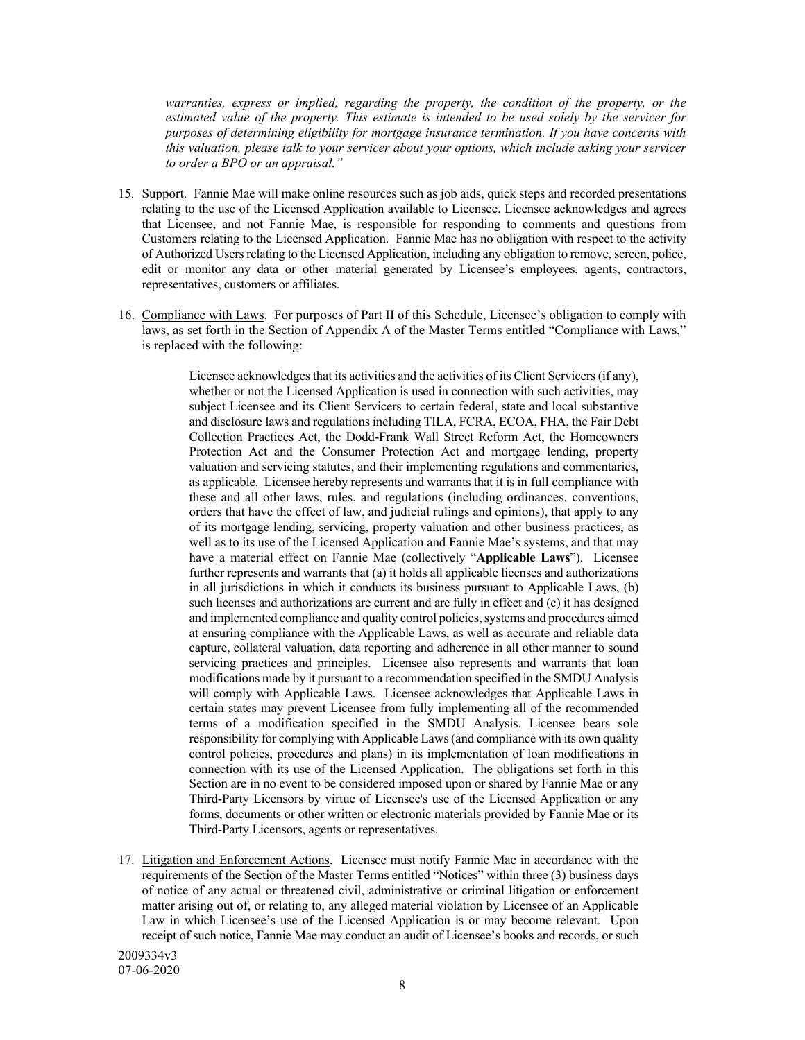*warranties, express or implied, regarding the property, the condition of the property, or the estimated value of the property. This estimate is intended to be used solely by the servicer for purposes of determining eligibility for mortgage insurance termination. If you have concerns with this valuation, please talk to your servicer about your options, which include asking your servicer to order a BPO or an appraisal."*

- 15. Support. Fannie Mae will make online resources such as job aids, quick steps and recorded presentations relating to the use of the Licensed Application available to Licensee. Licensee acknowledges and agrees that Licensee, and not Fannie Mae, is responsible for responding to comments and questions from Customers relating to the Licensed Application. Fannie Mae has no obligation with respect to the activity of Authorized Users relating to the Licensed Application, including any obligation to remove, screen, police, edit or monitor any data or other material generated by Licensee's employees, agents, contractors, representatives, customers or affiliates.
- 16. Compliance with Laws. For purposes of Part II of this Schedule, Licensee's obligation to comply with laws, as set forth in the Section of Appendix A of the Master Terms entitled "Compliance with Laws," is replaced with the following:

Licensee acknowledges that its activities and the activities of its Client Servicers (if any), whether or not the Licensed Application is used in connection with such activities, may subject Licensee and its Client Servicers to certain federal, state and local substantive and disclosure laws and regulations including TILA, FCRA, ECOA, FHA, the Fair Debt Collection Practices Act, the Dodd-Frank Wall Street Reform Act, the Homeowners Protection Act and the Consumer Protection Act and mortgage lending, property valuation and servicing statutes, and their implementing regulations and commentaries, as applicable. Licensee hereby represents and warrants that it is in full compliance with these and all other laws, rules, and regulations (including ordinances, conventions, orders that have the effect of law, and judicial rulings and opinions), that apply to any of its mortgage lending, servicing, property valuation and other business practices, as well as to its use of the Licensed Application and Fannie Mae's systems, and that may have a material effect on Fannie Mae (collectively "**Applicable Laws**"). Licensee further represents and warrants that (a) it holds all applicable licenses and authorizations in all jurisdictions in which it conducts its business pursuant to Applicable Laws, (b) such licenses and authorizations are current and are fully in effect and (c) it has designed and implemented compliance and quality control policies, systems and procedures aimed at ensuring compliance with the Applicable Laws, as well as accurate and reliable data capture, collateral valuation, data reporting and adherence in all other manner to sound servicing practices and principles. Licensee also represents and warrants that loan modifications made by it pursuant to a recommendation specified in the SMDU Analysis will comply with Applicable Laws. Licensee acknowledges that Applicable Laws in certain states may prevent Licensee from fully implementing all of the recommended terms of a modification specified in the SMDU Analysis. Licensee bears sole responsibility for complying with Applicable Laws (and compliance with its own quality control policies, procedures and plans) in its implementation of loan modifications in connection with its use of the Licensed Application. The obligations set forth in this Section are in no event to be considered imposed upon or shared by Fannie Mae or any Third-Party Licensors by virtue of Licensee's use of the Licensed Application or any forms, documents or other written or electronic materials provided by Fannie Mae or its Third-Party Licensors, agents or representatives.

17. Litigation and Enforcement Actions. Licensee must notify Fannie Mae in accordance with the requirements of the Section of the Master Terms entitled "Notices" within three (3) business days of notice of any actual or threatened civil, administrative or criminal litigation or enforcement matter arising out of, or relating to, any alleged material violation by Licensee of an Applicable Law in which Licensee's use of the Licensed Application is or may become relevant. Upon receipt of such notice, Fannie Mae may conduct an audit of Licensee's books and records, or such

2009334v3 07-06-2020